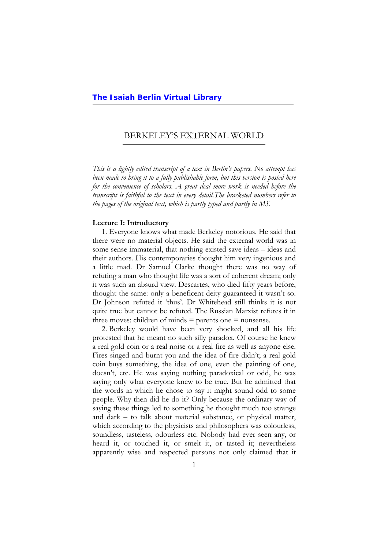#### BERKELEY'S EXTERNAL WORLD l,

*This is a lightly edited transcript of a text in Berlin's papers. No attempt has been made to bring it to a fully publishable form, but this version is posted here for the convenience of scholars. A great deal more work is needed before the transcript is faithful to the text in every detail.The bracketed numbers refer to the pages of the original text, which is partly typed and partly in MS.*

#### **Lecture I: Introductory**

1. Everyone knows what made Berkeley notorious. He said that there were no material objects. He said the external world was in some sense immaterial, that nothing existed save ideas – ideas and their authors. His contemporaries thought him very ingenious and a little mad. Dr Samuel Clarke thought there was no way of refuting a man who thought life was a sort of coherent dream; only it was such an absurd view. Descartes, who died fifty years before, thought the same: only a beneficent deity guaranteed it wasn't so. Dr Johnson refuted it 'thus'. Dr Whitehead still thinks it is not quite true but cannot be refuted. The Russian Marxist refutes it in three moves: children of minds  $=$  parents one  $=$  nonsense.

2. Berkeley would have been very shocked, and all his life protested that he meant no such silly paradox. Of course he knew a real gold coin or a real noise or a real fire as well as anyone else. Fires singed and burnt you and the idea of fire didn't; a real gold coin buys something, the idea of one, even the painting of one, doesn't, etc. He was saying nothing paradoxical or odd, he was saying only what everyone knew to be true. But he admitted that the words in which he chose to say it might sound odd to some people. Why then did he do it? Only because the ordinary way of saying these things led to something he thought much too strange and dark – to talk about material substance, or physical matter, which according to the physicists and philosophers was colourless, soundless, tasteless, odourless etc. Nobody had ever seen any, or heard it, or touched it, or smelt it, or tasted it; nevertheless apparently wise and respected persons not only claimed that it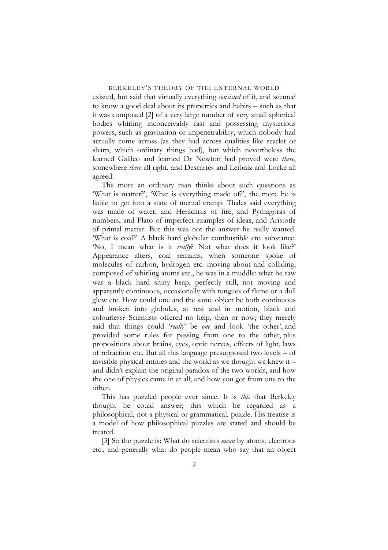existed, but said that virtually everything *consisted* of it, and seemed to know a good deal about its properties and habits – such as that it was composed [2] of a very large number of very small spherical bodies whirling inconceivably fast and possessing mysterious powers, such as gravitation or impenetrability, which nobody had actually come across (as they had across qualities like scarlet or sharp, which ordinary things had), but which nevertheless the learned Galileo and learned Dr Newton had proved were *there*, somewhere *there* all right, and Descartes and Leibniz and Locke all agreed.

The more an ordinary man thinks about such questions as 'What is matter?', 'What is everything made of?', the more he is liable to get into a state of mental cramp. Thales said everything was made of water, and Heraclitus of fire, and Pythagoras of numbers, and Plato of imperfect examples of ideas, and Aristotle of primal matter. But this was not the answer he really wanted. 'What is coal?' A black hard globular combustible etc. substance. 'No, I mean what is it *really*? Not what does it look like?' Appearance alters, coal remains, when someone spoke of molecules of carbon, hydrogen etc. moving about and colliding, composed of whirling atoms etc., he was in a muddle: what he saw was a black hard shiny heap, perfectly still, not moving and apparently continuous, occasionally with tongues of flame or a dull glow etc. How could one and the same object be both continuous and broken into globules, at rest and in motion, black and colourless? Scientists offered no help, then or now; they merely said that things could '*really*' be *one* and look 'the other', and provided some rules for passing from one to the other, plus propositions about brains, eyes, optic nerves, effects of light, laws of refraction etc. But all this language presupposed two levels – of invisible physical entities and the world as we thought we knew it – and didn't explain the original paradox of the two worlds, and how the one of physics came in at all; and how you got from one to the other.

This has puzzled people ever since. It is *this* that Berkeley thought he could answer; this which he regarded as a philosophical, not a physical or grammatical, puzzle. His treatise is a model of how philosophical puzzles are stated and should be treated.

[3] So the puzzle is: What do scientists *mean* by atoms, electrons etc., and generally what do people mean who say that an object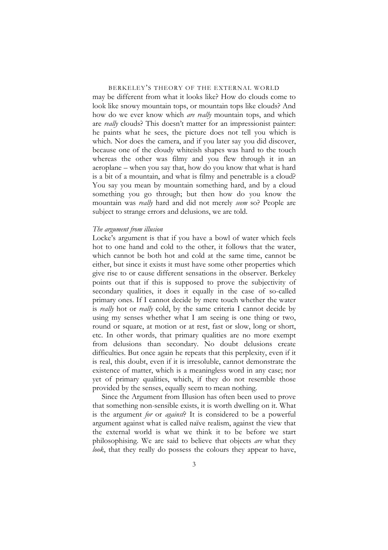may be different from what it looks like? How do clouds come to look like snowy mountain tops, or mountain tops like clouds? And how do we ever know which *are really* mountain tops, and which are *really* clouds? This doesn't matter for an impressionist painter: he paints what he sees, the picture does not tell you which is which. Nor does the camera, and if you later say you did discover, because one of the cloudy whiteish shapes was hard to the touch whereas the other was filmy and you flew through it in an aeroplane – when you say that, how do you know that what is hard is a bit of a mountain, and what is filmy and penetrable is a cloud? You say you mean by mountain something hard, and by a cloud something you go through; but then how do you know the mountain was *really* hard and did not merely *seem* so? People are subject to strange errors and delusions, we are told.

#### *The argument from illusion*

Locke's argument is that if you have a bowl of water which feels hot to one hand and cold to the other, it follows that the water, which cannot be both hot and cold at the same time, cannot be either, but since it exists it must have some other properties which give rise to or cause different sensations in the observer. Berkeley points out that if this is supposed to prove the subjectivity of secondary qualities, it does it equally in the case of so-called primary ones. If I cannot decide by mere touch whether the water is *really* hot or *really* cold, by the same criteria I cannot decide by using my senses whether what I am seeing is one thing or two, round or square, at motion or at rest, fast or slow, long or short, etc. In other words, that primary qualities are no more exempt from delusions than secondary. No doubt delusions create difficulties. But once again he repeats that this perplexity, even if it is real, this doubt, even if it is irresoluble, cannot demonstrate the existence of matter, which is a meaningless word in any case; nor yet of primary qualities, which, if they do not resemble those provided by the senses, equally seem to mean nothing.

Since the Argument from Illusion has often been used to prove that something non-sensible exists, it is worth dwelling on it. What is the argument *for* or *against*? It is considered to be a powerful argument against what is called naïve realism, against the view that the external world is what we think it to be before we start philosophising. We are said to believe that objects *are* what they *look*, that they really do possess the colours they appear to have,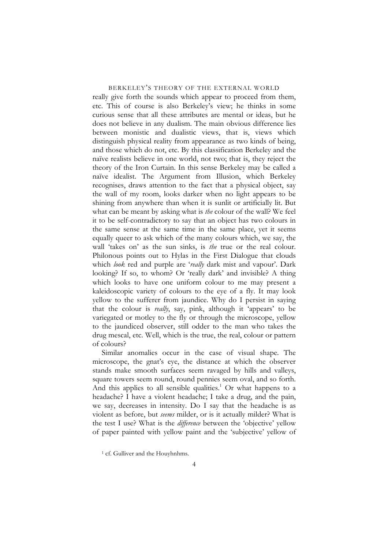really give forth the sounds which appear to proceed from them, etc. This of course is also Berkeley's view; he thinks in some curious sense that all these attributes are mental or ideas, but he does not believe in any dualism. The main obvious difference lies between monistic and dualistic views, that is, views which distinguish physical reality from appearance as two kinds of being, and those which do not, etc. By this classification Berkeley and the naïve realists believe in one world, not two; that is, they reject the theory of the Iron Curtain. In this sense Berkeley may be called a naïve idealist. The Argument from Illusion, which Berkeley recognises, draws attention to the fact that a physical object, say the wall of my room, looks darker when no light appears to be shining from anywhere than when it is sunlit or artificially lit. But what can be meant by asking what is *the* colour of the wall? We feel it to be self-contradictory to say that an object has two colours in the same sense at the same time in the same place, yet it seems equally queer to ask which of the many colours which, we say, the wall 'takes on' as the sun sinks, is *the* true or the real colour. Philonous points out to Hylas in the First Dialogue that clouds which *look* red and purple are '*really* dark mist and vapour'. Dark looking? If so, to whom? Or 'really dark' and invisible? A thing which looks to have one uniform colour to me may present a kaleidoscopic variety of colours to the eye of a fly. It may look yellow to the sufferer from jaundice. Why do I persist in saying that the colour is *really*, say, pink, although it 'appears' to be variegated or motley to the fly or through the microscope, yellow to the jaundiced observer, still odder to the man who takes the drug mescal, etc. Well, which is the true, the real, colour or pattern of colours?

Similar anomalies occur in the case of visual shape. The microscope, the gnat's eye, the distance at which the observer stands make smooth surfaces seem ravaged by hills and valleys, square towers seem round, round pennies seem oval, and so forth. And this applies to all sensible qualities.<sup>[1](#page-3-0)</sup> Or what happens to a headache? I have a violent headache; I take a drug, and the pain, we say, decreases in intensity. Do I say that the headache is as violent as before, but *seems* milder, or is it actually milder? What is the test I use? What is the *difference* between the 'objective' yellow of paper painted with yellow paint and the 'subjective' yellow of

<span id="page-3-0"></span><sup>&</sup>lt;sup>1</sup> cf. Gulliver and the Houyhnhms.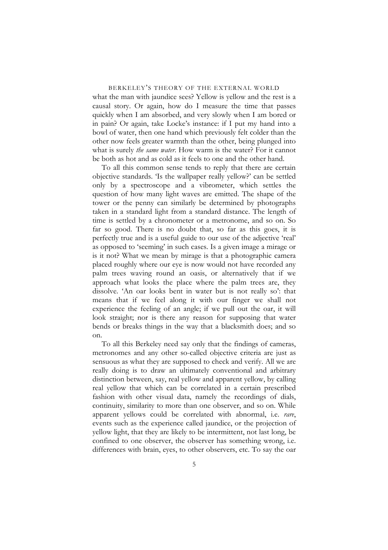what the man with jaundice sees? Yellow is yellow and the rest is a causal story. Or again, how do I measure the time that passes quickly when I am absorbed, and very slowly when I am bored or in pain? Or again, take Locke's instance: if I put my hand into a bowl of water, then one hand which previously felt colder than the other now feels greater warmth than the other, being plunged into what is surely *the same water*. How warm is the water? For it cannot be both as hot and as cold as it feels to one and the other hand.

To all this common sense tends to reply that there are certain objective standards. 'Is the wallpaper really yellow?' can be settled only by a spectroscope and a vibrometer, which settles the question of how many light waves are emitted. The shape of the tower or the penny can similarly be determined by photographs taken in a standard light from a standard distance. The length of time is settled by a chronometer or a metronome, and so on. So far so good. There is no doubt that, so far as this goes, it is perfectly true and is a useful guide to our use of the adjective 'real' as opposed to 'seeming' in such cases. Is a given image a mirage or is it not? What we mean by mirage is that a photographic camera placed roughly where our eye is now would not have recorded any palm trees waving round an oasis, or alternatively that if we approach what looks the place where the palm trees are, they dissolve. 'An oar looks bent in water but is not really so': that means that if we feel along it with our finger we shall not experience the feeling of an angle; if we pull out the oar, it will look straight; nor is there any reason for supposing that water bends or breaks things in the way that a blacksmith does; and so on.

To all this Berkeley need say only that the findings of cameras, metronomes and any other so-called objective criteria are just as sensuous as what they are supposed to check and verify. All we are really doing is to draw an ultimately conventional and arbitrary distinction between, say, real yellow and apparent yellow, by calling real yellow that which can be correlated in a certain prescribed fashion with other visual data, namely the recordings of dials, continuity, similarity to more than one observer, and so on. While apparent yellows could be correlated with abnormal, i.e. *rare*, events such as the experience called jaundice, or the projection of yellow light, that they are likely to be intermittent, not last long, be confined to one observer, the observer has something wrong, i.e. differences with brain, eyes, to other observers, etc. To say the oar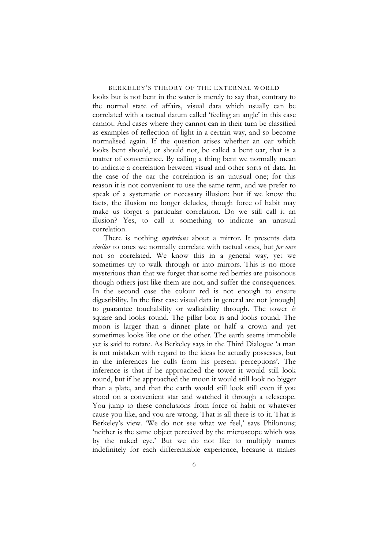looks but is not bent in the water is merely to say that, contrary to the normal state of affairs, visual data which usually can be correlated with a tactual datum called 'feeling an angle' in this case cannot. And cases where they cannot can in their turn be classified as examples of reflection of light in a certain way, and so become normalised again. If the question arises whether an oar which looks bent should, or should not, be called a bent oar, that is a matter of convenience. By calling a thing bent we normally mean to indicate a correlation between visual and other sorts of data. In the case of the oar the correlation is an unusual one; for this reason it is not convenient to use the same term, and we prefer to speak of a systematic or necessary illusion; but if we know the facts, the illusion no longer deludes, though force of habit may make us forget a particular correlation. Do we still call it an illusion? Yes, to call it something to indicate an unusual correlation.

There is nothing *mysterious* about a mirror. It presents data *similar* to ones we normally correlate with tactual ones, but *for once* not so correlated. We know this in a general way, yet we sometimes try to walk through or into mirrors. This is no more mysterious than that we forget that some red berries are poisonous though others just like them are not, and suffer the consequences. In the second case the colour red is not enough to ensure digestibility. In the first case visual data in general are not [enough] to guarantee touchability or walkability through. The tower *is*  square and looks round. The pillar box is and looks round. The moon is larger than a dinner plate or half a crown and yet sometimes looks like one or the other. The earth seems immobile yet is said to rotate. As Berkeley says in the Third Dialogue 'a man is not mistaken with regard to the ideas he actually possesses, but in the inferences he culls from his present perceptions'. The inference is that if he approached the tower it would still look round, but if he approached the moon it would still look no bigger than a plate, and that the earth would still look still even if you stood on a convenient star and watched it through a telescope. You jump to these conclusions from force of habit or whatever cause you like, and you are wrong. That is all there is to it. That is Berkeley's view. 'We do not see what we feel,' says Philonous; 'neither is the same object perceived by the microscope which was by the naked eye.' But we do not like to multiply names indefinitely for each differentiable experience, because it makes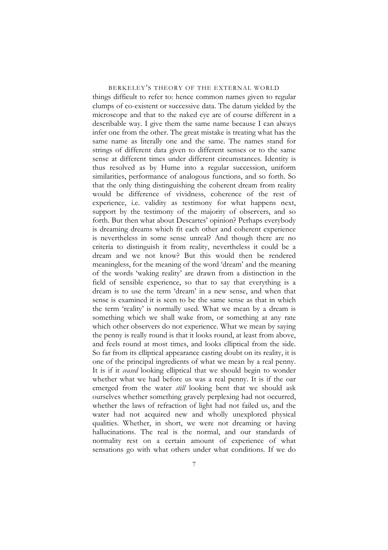things difficult to refer to: hence common names given to regular clumps of co-existent or successive data. The datum yielded by the microscope and that to the naked eye are of course different in a describable way. I give them the same name because I can always infer one from the other. The great mistake is treating what has the same name as literally one and the same. The names stand for strings of different data given to different senses or to the same sense at different times under different circumstances. Identity is thus resolved as by Hume into a regular succession, uniform similarities, performance of analogous functions, and so forth. So that the only thing distinguishing the coherent dream from reality would be difference of vividness, coherence of the rest of experience, i.e. validity as testimony for what happens next, support by the testimony of the majority of observers, and so forth. But then what about Descartes' opinion? Perhaps everybody is dreaming dreams which fit each other and coherent experience is nevertheless in some sense unreal? And though there are no criteria to distinguish it from reality, nevertheless it could be a dream and we not know? But this would then be rendered meaningless, for the meaning of the word 'dream' and the meaning of the words 'waking reality' are drawn from a distinction in the field of sensible experience, so that to say that everything is a dream is to use the term 'dream' in a new sense, and when that sense is examined it is seen to be the same sense as that in which the term 'reality' is normally used. What we mean by a dream is something which we shall wake from, or something at any rate which other observers do not experience. What we mean by saying the penny is really round is that it looks round, at least from above, and feels round at most times, and looks elliptical from the side. So far from its elliptical appearance casting doubt on its reality, it is one of the principal ingredients of what we mean by a real penny. It is if it *ceased* looking elliptical that we should begin to wonder whether what we had before us was a real penny. It is if the oar emerged from the water *still* looking bent that we should ask ourselves whether something gravely perplexing had not occurred, whether the laws of refraction of light had not failed us, and the water had not acquired new and wholly unexplored physical qualities. Whether, in short, we were not dreaming or having hallucinations. The real is the normal, and our standards of normality rest on a certain amount of experience of what sensations go with what others under what conditions. If we do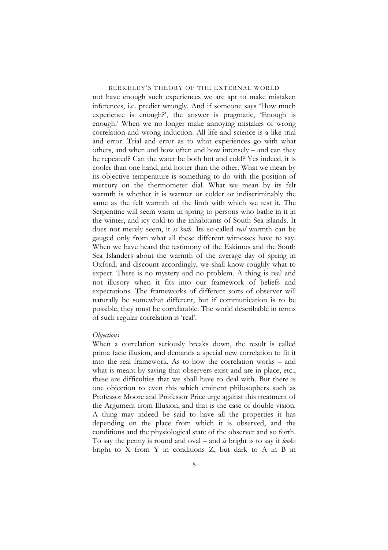not have enough such experiences we are apt to make mistaken inferences, i.e. predict wrongly. And if someone says 'How much experience is enough?', the answer is pragmatic, 'Enough is enough.' When we no longer make annoying mistakes of wrong correlation and wrong induction. All life and science is a like trial and error. Trial and error as to what experiences go with what others, and when and how often and how intensely – and can they be repeated? Can the water be both hot and cold? Yes indeed, it is cooler than one hand, and hotter than the other. What we mean by its objective temperature is something to do with the position of mercury on the thermometer dial. What we mean by its felt warmth is whether it is warmer or colder or indiscriminably the same as the felt warmth of the limb with which we test it. The Serpentine will seem warm in spring to persons who bathe in it in the winter, and icy cold to the inhabitants of South Sea islands. It does not merely seem, it *is both*. Its so-called *real* warmth can be gauged only from what all these different witnesses have to say. When we have heard the testimony of the Eskimos and the South Sea Islanders about the warmth of the average day of spring in Oxford, and discount accordingly, we shall know roughly what to expect. There is no mystery and no problem. A thing is real and not illusory when it fits into our framework of beliefs and expectations. The frameworks of different sorts of observer will naturally be somewhat different, but if communication is to be possible, they must be correlatable. The world describable in terms of such regular correlation is 'real'.

#### *Objections*

When a correlation seriously breaks down, the result is called prima facie illusion, and demands a special new correlation to fit it into the real framework. As to how the correlation works – and what is meant by saying that observers exist and are in place, etc., these are difficulties that we shall have to deal with. But there is one objection to even this which eminent philosophers such as Professor Moore and Professor Price urge against this treatment of the Argument from Illusion, and that is the case of double vision. A thing may indeed be said to have all the properties it has depending on the place from which it is observed, and the conditions and the physiological state of the observer and so forth. To say the penny is round and oval – and *is* bright is to say it *looks* bright to X from Y in conditions Z, but dark to A in B in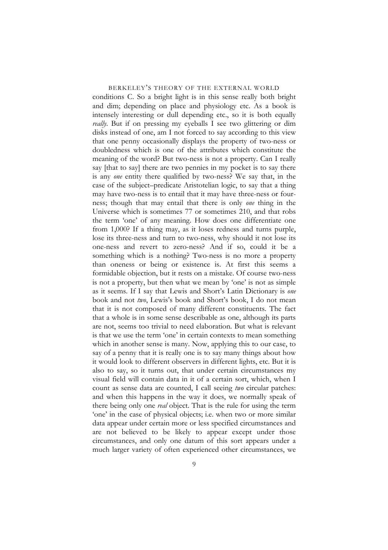conditions C. So a bright light is in this sense really both bright and dim; depending on place and physiology etc. As a book is intensely interesting or dull depending etc., so it is both equally *really*. But if on pressing my eyeballs I see two glittering or dim disks instead of one, am I not forced to say according to this view that one penny occasionally displays the property of two-ness or doubledness which is one of the attributes which constitute the meaning of the word? But two-ness is not a property. Can I really say [that to say] there are two pennies in my pocket is to say there is any *one* entity there qualified by two-ness? We say that, in the case of the subject–predicate Aristotelian logic, to say that a thing may have two-ness is to entail that it may have three-ness or fourness; though that may entail that there is only *one* thing in the Universe which is sometimes 77 or sometimes 210, and that robs the term 'one' of any meaning. How does one differentiate one from 1,000? If a thing may, as it loses redness and turns purple, lose its three-ness and turn to two-ness, why should it not lose its one-ness and revert to zero-ness? And if so, could it be a something which is a nothing? Two-ness is no more a property than oneness or being or existence is. At first this seems a formidable objection, but it rests on a mistake. Of course two-ness is not a property, but then what we mean by 'one' is not as simple as it seems. If I say that Lewis and Short's Latin Dictionary is *one* book and not *two*, Lewis's book and Short's book, I do not mean that it is not composed of many different constituents. The fact that a whole is in some sense describable as one, although its parts are not, seems too trivial to need elaboration. But what is relevant is that we use the term 'one' in certain contexts to mean something which in another sense is many. Now, applying this to our case, to say of a penny that it is really one is to say many things about how it would look to different observers in different lights, etc. But it is also to say, so it turns out, that under certain circumstances my visual field will contain data in it of a certain sort, which, when I count as sense data are counted, I call seeing *two* circular patches: and when this happens in the way it does, we normally speak of there being only one *real* object. That is the rule for using the term 'one' in the case of physical objects; i.e. when two or more similar data appear under certain more or less specified circumstances and are not believed to be likely to appear except under those circumstances, and only one datum of this sort appears under a much larger variety of often experienced other circumstances, we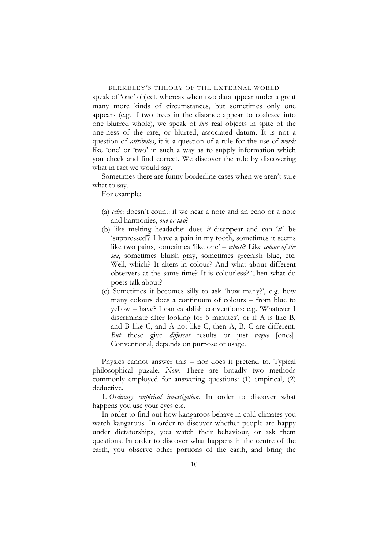speak of 'one' object, whereas when two data appear under a great many more kinds of circumstances, but sometimes only one appears (e.g. if two trees in the distance appear to coalesce into one blurred whole), we speak of *two* real objects in spite of the one-ness of the rare, or blurred, associated datum. It is not a question of *attributes*, it is a question of a rule for the use of *words* like 'one' or 'two' in such a way as to supply information which you check and find correct. We discover the rule by discovering what in fact we would say.

Sometimes there are funny borderline cases when we aren't sure what to say.

For example:

- (a) *echo*: doesn't count: if we hear a note and an echo or a note and harmonies, *one or two*?
- (b) like melting headache: does *it* disappear and can '*it* ' be 'suppressed'? I have a pain in my tooth, sometimes it seems like two pains, sometimes 'like one' – *which*? Like *colour of the sea*, sometimes bluish gray, sometimes greenish blue, etc. Well, which? It alters in colour? And what about different observers at the same time? It is colourless? Then what do poets talk about?
- (c) Sometimes it becomes silly to ask 'how many?', e.g. how many colours does a continuum of colours – from blue to yellow – have? I can establish conventions: e.g. 'Whatever I discriminate after looking for 5 minutes', or if A is like B, and B like C, and A not like C, then A, B, C are different. *But* these give *different* results or just *vague* [ones]. Conventional, depends on purpose or usage.

Physics cannot answer this – nor does it pretend to. Typical philosophical puzzle. *Now*. There are broadly two methods commonly employed for answering questions: (1) empirical, (2) deductive.

1*. Ordinary empirical investigation*. In order to discover what happens you use your eyes etc.

In order to find out how kangaroos behave in cold climates you watch kangaroos. In order to discover whether people are happy under dictatorships, you watch their behaviour, or ask them questions. In order to discover what happens in the centre of the earth, you observe other portions of the earth, and bring the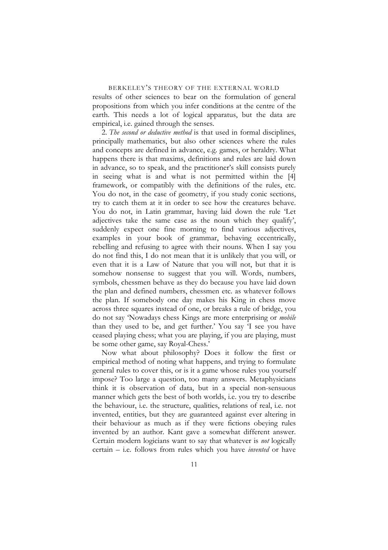results of other sciences to bear on the formulation of general propositions from which you infer conditions at the centre of the earth. This needs a lot of logical apparatus, but the data are empirical, i.e. gained through the senses.

2. *The second or deductive method* is that used in formal disciplines, principally mathematics, but also other sciences where the rules and concepts are defined in advance, e.g. games, or heraldry. What happens there is that maxims, definitions and rules are laid down in advance, so to speak, and the practitioner's skill consists purely in seeing what is and what is not permitted within the [4] framework, or compatibly with the definitions of the rules, etc. You do not, in the case of geometry, if you study conic sections, try to catch them at it in order to see how the creatures behave. You do not, in Latin grammar, having laid down the rule 'Let adjectives take the same case as the noun which they qualify', suddenly expect one fine morning to find various adjectives, examples in your book of grammar, behaving eccentrically, rebelling and refusing to agree with their nouns. When I say you do not find this, I do not mean that it is unlikely that you will, or even that it is a Law of Nature that you will not, but that it is somehow nonsense to suggest that you will. Words, numbers, symbols, chessmen behave as they do because you have laid down the plan and defined numbers, chessmen etc. as whatever follows the plan. If somebody one day makes his King in chess move across three squares instead of one, or breaks a rule of bridge, you do not say 'Nowadays chess Kings are more enterprising or *mobile* than they used to be, and get further.' You say 'I see you have ceased playing chess; what you are playing, if you are playing, must be some other game, say Royal-Chess.'

Now what about philosophy? Does it follow the first or empirical method of noting what happens, and trying to formulate general rules to cover this, or is it a game whose rules you yourself impose? Too large a question, too many answers. Metaphysicians think it is observation of data, but in a special non-sensuous manner which gets the best of both worlds, i.e. you try to describe the behaviour, i.e. the structure, qualities, relations of real, i.e. not invented, entities, but they are guaranteed against ever altering in their behaviour as much as if they were fictions obeying rules invented by an author. Kant gave a somewhat different answer. Certain modern logicians want to say that whatever is *not* logically certain – i.e. follows from rules which you have *invented* or have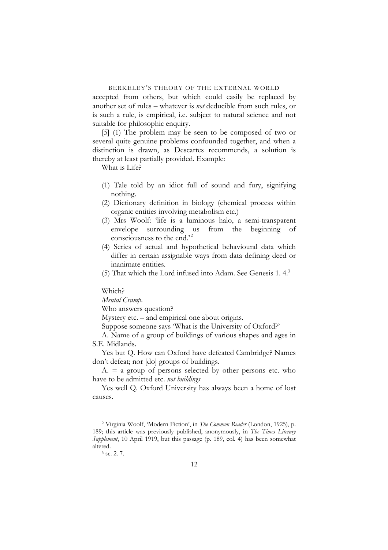accepted from others, but which could easily be replaced by another set of rules – whatever is *not* deducible from such rules, or is such a rule, is empirical, i.e. subject to natural science and not suitable for philosophic enquiry.

[5] (1) The problem may be seen to be composed of two or several quite genuine problems confounded together, and when a distinction is drawn, as Descartes recommends, a solution is thereby at least partially provided. Example:

What is Life?

- (1) Tale told by an idiot full of sound and fury, signifying nothing.
- (2) Dictionary definition in biology (chemical process within organic entities involving metabolism etc.)
- (3) Mrs Woolf: 'life is a luminous halo, a semi-transparent envelope surrounding us from the beginning of consciousness to the end.'<sup>[2](#page-11-0)</sup>
- (4) Series of actual and hypothetical behavioural data which differ in certain assignable ways from data defining deed or inanimate entities.
- (5) That which the Lord infused into Adam. See Genesis 1. 4.[3](#page-11-1)

Which?

*Mental Cramp*.

Who answers question?

Mystery etc. – and empirical one about origins.

Suppose someone says 'What is the University of Oxford?'

A. Name of a group of buildings of various shapes and ages in S.E. Midlands.

Yes but Q. How can Oxford have defeated Cambridge? Names don't defeat; nor [do] groups of buildings.

 $A = a$  group of persons selected by other persons etc. who have to be admitted etc. *not buildings*

Yes well Q. Oxford University has always been a home of lost causes.

<span id="page-11-0"></span><sup>2</sup> Virginia Woolf, 'Modern Fiction', in *The Common Reader* (London, 1925), p. 189; this article was previously published, anonymously, in *The Times Literary Supplement*, 10 April 1919, but this passage (p. 189, col. 4) has been somewhat altered.  $3 \text{ sc. } 2.7$ .

<span id="page-11-1"></span>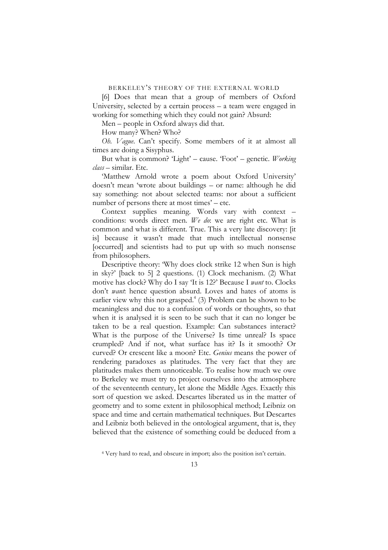[6] Does that mean that a group of members of Oxford University, selected by a certain process – a team were engaged in working for something which they could not gain? Absurd:

Men – people in Oxford always did that.

How many? When? Who?

*Oh. Vague*. Can't specify. Some members of it at almost all times are doing a Sisyphus.

But what is common? 'Light' – cause. 'Foot' – genetic. *Working class* – similar. Etc.

'Matthew Arnold wrote a poem about Oxford University' doesn't mean 'wrote about buildings – or name: although he did say something: not about selected teams: nor about a sufficient number of persons there at most times' – etc.

Context supplies meaning. Words vary with context – conditions: words direct men. *We do*: we are right etc. What is common and what is different. True. This a very late discovery: [it is] because it wasn't made that much intellectual nonsense [occurred] and scientists had to put up with so much nonsense from philosophers.

Descriptive theory: 'Why does clock strike 12 when Sun is high in sky?' [back to 5] 2 questions. (1) Clock mechanism. (2) What motive has clock? Why do I say 'It is 12?' Because I *want* to. Clocks don't *want*: hence question absurd. Loves and hates of atoms is earlier view why this not grasped.<sup>4</sup> (3) Problem can be shown to be meaningless and due to a confusion of words or thoughts, so that when it is analysed it is seen to be such that it can no longer be taken to be a real question. Example: Can substances interact? What is the purpose of the Universe? Is time unreal? Is space crumpled? And if not, what surface has it? Is it smooth? Or curved? Or crescent like a moon? Etc. *Genius* means the power of rendering paradoxes as platitudes. The very fact that they are platitudes makes them unnoticeable. To realise how much we owe to Berkeley we must try to project ourselves into the atmosphere of the seventeenth century, let alone the Middle Ages. Exactly this sort of question we asked. Descartes liberated us in the matter of geometry and to some extent in philosophical method; Leibniz on space and time and certain mathematical techniques. But Descartes and Leibniz both believed in the ontological argument, that is, they believed that the existence of something could be deduced from a

<span id="page-12-0"></span><sup>4</sup> Very hard to read, and obscure in import; also the position isn't certain.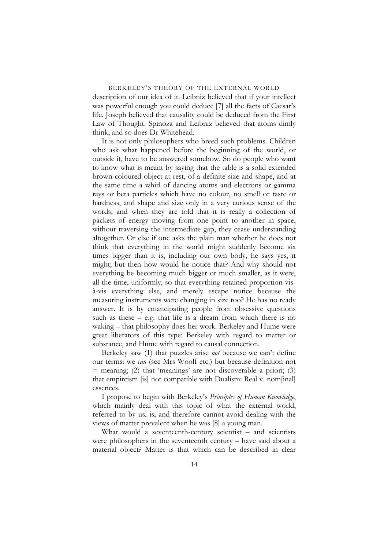description of our idea of it. Leibniz believed that if your intellect was powerful enough you could deduce [7] all the facts of Caesar's life. Joseph believed that causality could be deduced from the First Law of Thought. Spinoza and Leibniz believed that atoms dimly think, and so does Dr Whitehead.

It is not only philosophers who breed such problems. Children who ask what happened before the beginning of the world, or outside it, have to be answered somehow. So do people who want to know what is meant by saying that the table is a solid extended brown-coloured object at rest, of a definite size and shape, and at the same time a whirl of dancing atoms and electrons or gamma rays or beta particles which have no colour, no smell or taste or hardness, and shape and size only in a very curious sense of the words; and when they are told that it is really a collection of packets of energy moving from one point to another in space, without traversing the intermediate gap, they cease understanding altogether. Or else if one asks the plain man whether he does not think that everything in the world might suddenly become six times bigger than it is, including our own body, he says yes, it might; but then how would he notice that? And why should not everything be becoming much bigger or much smaller, as it were, all the time, uniformly, so that everything retained proportion visà-vis everything else, and merely escape notice because the measuring instruments were changing in size too? He has no ready answer. It is by emancipating people from obsessive questions such as these – e.g. that life is a dream from which there is no waking – that philosophy does her work. Berkeley and Hume were great liberators of this type: Berkeley with regard to matter or substance, and Hume with regard to causal connection.

Berkeley saw (1) that puzzles arise *not* because we can't define our terms: we *can* (see Mrs Woolf etc.) but because definition not  $=$  meaning; (2) that 'meanings' are not discoverable a priori; (3) that empircism [is] not compatible with Dualism: Real v. nom[inal] essences.

I propose to begin with Berkeley's *Principles of Human Knowledge*, which mainly deal with this topic of what the external world, referred to by us, is, and therefore cannot avoid dealing with the views of matter prevalent when he was [8] a young man.

What would a seventeenth-century scientist – and scientists were philosophers in the seventeenth century – have said about a material object? Matter is that which can be described in clear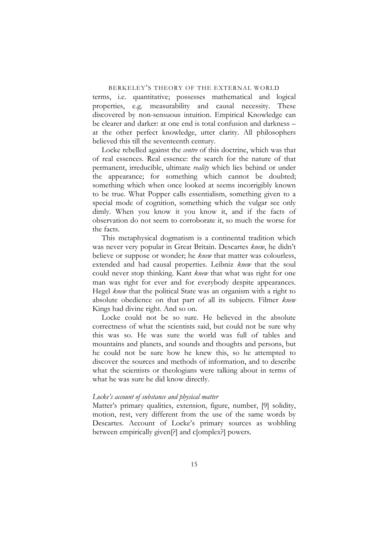terms, i.e. quantitative; possesses mathematical and logical properties, e.g. measurability and causal necessity. These discovered by non-sensuous intuition. Empirical Knowledge can be clearer and darker: at one end is total confusion and darkness – at the other perfect knowledge, utter clarity. All philosophers believed this till the seventeenth century.

Locke rebelled against the *centre* of this doctrine, which was that of real essences. Real essence: the search for the nature of that permanent, irreducible, ultimate *reality* which lies behind or under the appearance; for something which cannot be doubted; something which when once looked at seems incorrigibly known to be true. What Popper calls essentialism, something given to a special mode of cognition, something which the vulgar see only dimly. When you know it you know it, and if the facts of observation do not seem to corroborate it, so much the worse for the facts.

This metaphysical dogmatism is a continental tradition which was never very popular in Great Britain. Descartes *knew*, he didn't believe or suppose or wonder; he *knew* that matter was colourless, extended and had causal properties. Leibniz *knew* that the soul could never stop thinking. Kant *knew* that what was right for one man was right for ever and for everybody despite appearances. Hegel *knew* that the political State was an organism with a right to absolute obedience on that part of all its subjects. Filmer *knew* Kings had divine right. And so on.

Locke could not be so sure. He believed in the absolute correctness of what the scientists said, but could not be sure why this was so. He was sure the world was full of tables and mountains and planets, and sounds and thoughts and persons, but he could not be sure how he knew this, so he attempted to discover the sources and methods of information, and to describe what the scientists or theologians were talking about in terms of what he was sure he did know directly.

#### *Locke's account of substance and physical matter*

Matter's primary qualities, extension, figure, number, [9] solidity, motion, rest, very different from the use of the same words by Descartes. Account of Locke's primary sources as wobbling between empirically given[?] and c[omplex?] powers.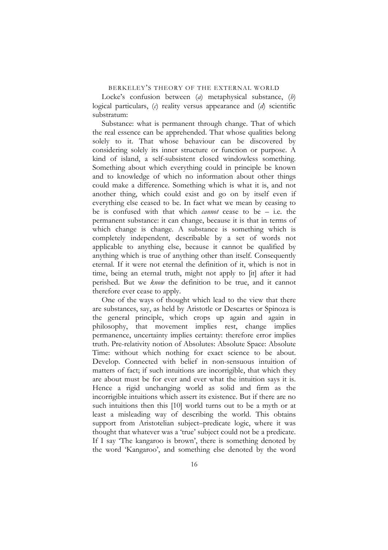Locke's confusion between (*a*) metaphysical substance, (*b*) logical particulars, (*c*) reality versus appearance and (*d*) scientific substratum:

Substance: what is permanent through change. That of which the real essence can be apprehended. That whose qualities belong solely to it. That whose behaviour can be discovered by considering solely its inner structure or function or purpose. A kind of island, a self-subsistent closed windowless something. Something about which everything could in principle be known and to knowledge of which no information about other things could make a difference. Something which is what it is, and not another thing, which could exist and go on by itself even if everything else ceased to be. In fact what we mean by ceasing to be is confused with that which *cannot* cease to be – i.e. the permanent substance: it can change, because it is that in terms of which change is change. A substance is something which is completely independent, describable by a set of words not applicable to anything else, because it cannot be qualified by anything which is true of anything other than itself. Consequently eternal. If it were not eternal the definition of it, which is not in time, being an eternal truth, might not apply to [it] after it had perished. But we *know* the definition to be true, and it cannot therefore ever cease to apply.

One of the ways of thought which lead to the view that there are substances, say, as held by Aristotle or Descartes or Spinoza is the general principle, which crops up again and again in philosophy, that movement implies rest, change implies permanence, uncertainty implies certainty: therefore error implies truth. Pre-relativity notion of Absolutes: Absolute Space: Absolute Time: without which nothing for exact science to be about. Develop. Connected with belief in non-sensuous intuition of matters of fact; if such intuitions are incorrigible, that which they are about must be for ever and ever what the intuition says it is. Hence a rigid unchanging world as solid and firm as the incorrigible intuitions which assert its existence. But if there are no such intuitions then this [10] world turns out to be a myth or at least a misleading way of describing the world. This obtains support from Aristotelian subject–predicate logic, where it was thought that whatever was a 'true' subject could not be a predicate. If I say 'The kangaroo is brown', there is something denoted by the word 'Kangaroo', and something else denoted by the word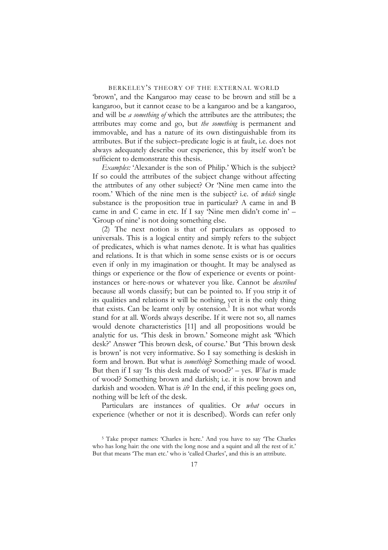'brown', and the Kangaroo may cease to be brown and still be a kangaroo, but it cannot cease to be a kangaroo and be a kangaroo, and will be *a something of* which the attributes are the attributes; the attributes may come and go, but *the something* is permanent and immovable, and has a nature of its own distinguishable from its attributes. But if the subject–predicate logic is at fault, i.e. does not always adequately describe our experience, this by itself won't be sufficient to demonstrate this thesis.

*Examples:* 'Alexander is the son of Philip.' Which is the subject? If so could the attributes of the subject change without affecting the attributes of any other subject? Or 'Nine men came into the room.' Which of the nine men is the subject? i.e. of *which* single substance is the proposition true in particular? A came in and B came in and C came in etc. If I say 'Nine men didn't come in' – 'Group of nine' is not doing something else.

(2) The next notion is that of particulars as opposed to universals. This is a logical entity and simply refers to the subject of predicates, which is what names denote. It is what has qualities and relations. It is that which in some sense exists or is or occurs even if only in my imagination or thought. It may be analysed as things or experience or the flow of experience or events or pointinstances or here-nows or whatever you like. Cannot be *described* because all words classify; but can be pointed to. If you strip it of its qualities and relations it will be nothing, yet it is the only thing that exists. Can be learnt only by ostension.<sup>[5](#page-16-0)</sup> It is not what words stand for at all. Words always describe. If it were not so, all names would denote characteristics [11] and all propositions would be analytic for us. 'This desk in brown.' Someone might ask 'Which desk?' Answer 'This brown desk, of course.' But 'This brown desk is brown' is not very informative. So I say something is deskish in form and brown. But what is *something*? Something made of wood. But then if I say 'Is this desk made of wood?' – yes. *What* is made of wood? Something brown and darkish; i.e. it is now brown and darkish and wooden. What is *it*? In the end, if this peeling goes on, nothing will be left of the desk.

Particulars are instances of qualities. Or *what* occurs in experience (whether or not it is described). Words can refer only

<span id="page-16-0"></span><sup>5</sup> Take proper names: 'Charles is here.' And you have to say 'The Charles who has long hair: the one with the long nose and a squint and all the rest of it.' But that means 'The man etc.' who is 'called Charles', and this is an attribute.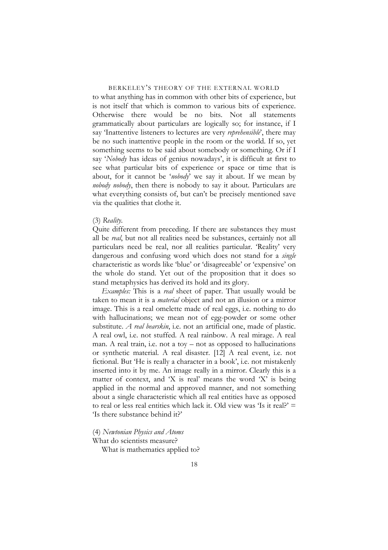to what anything has in common with other bits of experience, but is not itself that which is common to various bits of experience. Otherwise there would be no bits. Not all statements grammatically about particulars are logically so; for instance, if I say 'Inattentive listeners to lectures are very *reprehensible*', there may be no such inattentive people in the room or the world. If so, yet something seems to be said about somebody or something. Or if I say '*Nobody* has ideas of genius nowadays', it is difficult at first to see what particular bits of experience or space or time that is about, for it cannot be '*nobody*' we say it about. If we mean by *nobody nobody*, then there is nobody to say it about. Particulars are what everything consists of, but can't be precisely mentioned save via the qualities that clothe it.

#### (3) *Reality*.

Quite different from preceding. If there are substances they must all be *real*, but not all realities need be substances, certainly not all particulars need be real, nor all realities particular. 'Reality' very dangerous and confusing word which does not stand for a *single* characteristic as words like 'blue' or 'disagreeable' or 'expensive' on the whole do stand. Yet out of the proposition that it does so stand metaphysics has derived its hold and its glory.

*Examples:* This is a *real* sheet of paper. That usually would be taken to mean it is a *material* object and not an illusion or a mirror image. This is a real omelette made of real eggs, i.e. nothing to do with hallucinations; we mean not of egg-powder or some other substitute. *A real bearskin*, i.e. not an artificial one, made of plastic. A real owl, i.e. not stuffed. A real rainbow. A real mirage. A real man. A real train, i.e. not a toy – not as opposed to hallucinations or synthetic material. A real disaster. [12] A real event, i.e. not fictional. But 'He is really a character in a book', i.e. not mistakenly inserted into it by me. An image really in a mirror. Clearly this is a matter of context, and 'X is real' means the word 'X' is being applied in the normal and approved manner, and not something about a single characteristic which all real entities have as opposed to real or less real entities which lack it. Old view was 'Is it real?'  $=$ 'Is there substance behind it?'

# (4) *Newtonian Physics and Atoms*

What do scientists measure?

What is mathematics applied to?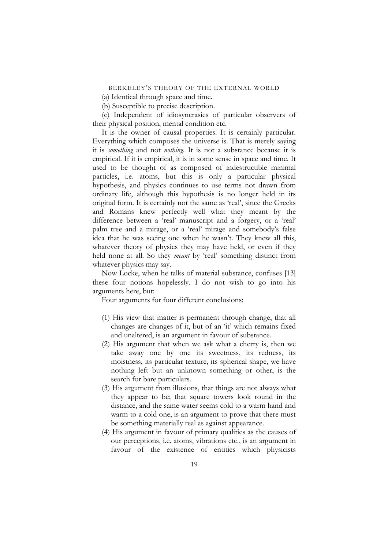(a) Identical through space and time.

(b) Susceptible to precise description.

(c) Independent of idiosyncrasies of particular observers of their physical position, mental condition etc.

It is the owner of causal properties. It is certainly particular. Everything which composes the universe is. That is merely saying it is *something* and not *nothing*. It is not a substance because it is empirical. If it is empirical, it is in some sense in space and time. It used to be thought of as composed of indestructible minimal particles, i.e. atoms, but this is only a particular physical hypothesis, and physics continues to use terms not drawn from ordinary life, although this hypothesis is no longer held in its original form. It is certainly not the same as 'real', since the Greeks and Romans knew perfectly well what they meant by the difference between a 'real' manuscript and a forgery, or a 'real' palm tree and a mirage, or a 'real' mirage and somebody's false idea that he was seeing one when he wasn't. They knew all this, whatever theory of physics they may have held, or even if they held none at all. So they *meant* by 'real' something distinct from whatever physics may say.

Now Locke, when he talks of material substance, confuses [13] these four notions hopelessly. I do not wish to go into his arguments here, but:

Four arguments for four different conclusions:

- (1) His view that matter is permanent through change, that all changes are changes of it, but of an 'it' which remains fixed and unaltered, is an argument in favour of substance.
- (2) His argument that when we ask what a cherry is, then we take away one by one its sweetness, its redness, its moistness, its particular texture, its spherical shape, we have nothing left but an unknown something or other, is the search for bare particulars.
- (3) His argument from illusions, that things are not always what they appear to be; that square towers look round in the distance, and the same water seems cold to a warm hand and warm to a cold one, is an argument to prove that there must be something materially real as against appearance.
- (4) His argument in favour of primary qualities as the causes of our perceptions, i.e. atoms, vibrations etc., is an argument in favour of the existence of entities which physicists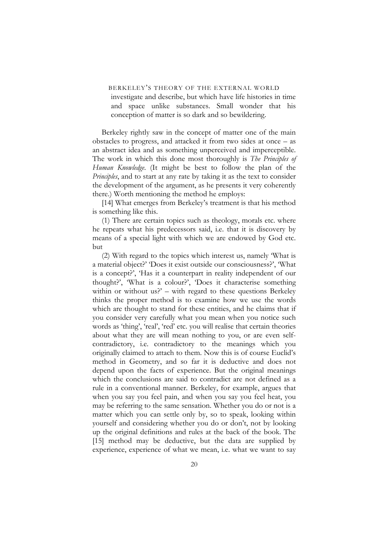investigate and describe, but which have life histories in time and space unlike substances. Small wonder that his conception of matter is so dark and so bewildering.

Berkeley rightly saw in the concept of matter one of the main obstacles to progress, and attacked it from two sides at once – as an abstract idea and as something unperceived and imperceptible. The work in which this done most thoroughly is *The Principles of Human Knowledge*. (It might be best to follow the plan of the *Principles*, and to start at any rate by taking it as the text to consider the development of the argument, as he presents it very coherently there.) Worth mentioning the method he employs:

[14] What emerges from Berkeley's treatment is that his method is something like this.

(1) There are certain topics such as theology, morals etc. where he repeats what his predecessors said, i.e. that it is discovery by means of a special light with which we are endowed by God etc. but

(2) With regard to the topics which interest us, namely 'What is a material object?' 'Does it exist outside our consciousness?', 'What is a concept?', 'Has it a counterpart in reality independent of our thought?', 'What is a colour?', 'Does it characterise something within or without us?' – with regard to these questions Berkeley thinks the proper method is to examine how we use the words which are thought to stand for these entities, and he claims that if you consider very carefully what you mean when you notice such words as 'thing', 'real', 'red' etc. you will realise that certain theories about what they are will mean nothing to you, or are even selfcontradictory, i.e. contradictory to the meanings which you originally claimed to attach to them. Now this is of course Euclid's method in Geometry, and so far it is deductive and does not depend upon the facts of experience. But the original meanings which the conclusions are said to contradict are not defined as a rule in a conventional manner. Berkeley, for example, argues that when you say you feel pain, and when you say you feel heat, you may be referring to the same sensation. Whether you do or not is a matter which you can settle only by, so to speak, looking within yourself and considering whether you do or don't, not by looking up the original definitions and rules at the back of the book. The [15] method may be deductive, but the data are supplied by experience, experience of what we mean, i.e. what we want to say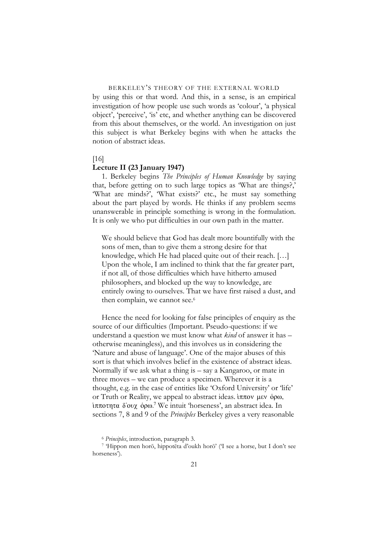by using this or that word. And this, in a sense, is an empirical investigation of how people use such words as 'colour', 'a physical object', 'perceive', 'is' etc, and whether anything can be discovered from this about themselves, or the world. An investigation on just this subject is what Berkeley begins with when he attacks the notion of abstract ideas.

#### [16]

#### **Lecture II (23 January 1947)**

1. Berkeley begins *The Principles of Human Knowledge* by saying that, before getting on to such large topics as 'What are things?,' 'What are minds?', 'What exists?' etc., he must say something about the part played by words. He thinks if any problem seems unanswerable in principle something is wrong in the formulation. It is only we who put difficulties in our own path in the matter.

We should believe that God has dealt more bountifully with the sons of men, than to give them a strong desire for that knowledge, which He had placed quite out of their reach. […] Upon the whole, I am inclined to think that the far greater part, if not all, of those difficulties which have hitherto amused philosophers, and blocked up the way to knowledge, are entirely owing to ourselves. That we have first raised a dust, and then complain, we cannot see.<sup>6</sup>

Hence the need for looking for false principles of enquiry as the source of our difficulties (Important. Pseudo-questions: if we understand a question we must know what *kind* of answer it has – otherwise meaningless), and this involves us in considering the 'Nature and abuse of language'. One of the major abuses of this sort is that which involves belief in the existence of abstract ideas. Normally if we ask what a thing is – say a Kangaroo, or mate in three moves – we can produce a specimen. Wherever it is a thought, e.g. in the case of entities like 'Oxford University' or 'life' or Truth or Reality, we appeal to abstract ideas.  $\frac{1}{2}$   $\pi \pi$ ov  $\mu \infty$ ,  $\delta \rho \omega$ , iπποτητα δ'ουχ ὁρω.<sup>[7](#page-20-1)</sup> We intuit 'horseness', an abstract idea. In sections 7, 8 and 9 of the *Principles* Berkeley gives a very reasonable

<span id="page-20-1"></span><span id="page-20-0"></span>

<sup>6</sup> *Principles*, introduction, paragraph 3. 7 'Hippon men horō, hippotēta d'oukh horō' ('I see a horse, but I don't see horseness').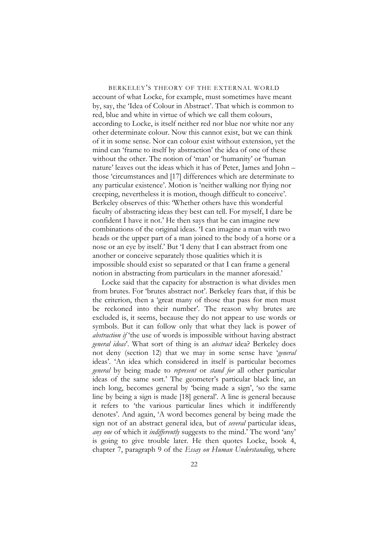BERKELEY'S THEORY OF THE EXTERNAL WORLD account of what Locke, for example, must sometimes have meant by, say, the 'Idea of Colour in Abstract'. That which is common to red, blue and white in virtue of which we call them colours, according to Locke, is itself neither red nor blue nor white nor any other determinate colour. Now this cannot exist, but we can think of it in some sense. Nor can colour exist without extension, yet the mind can 'frame to itself by abstraction' the idea of one of these without the other. The notion of 'man' or 'humanity' or 'human nature' leaves out the ideas which it has of Peter, James and John – those 'circumstances and [17] differences which are determinate to any particular existence'. Motion is 'neither walking nor flying nor creeping, nevertheless it is motion, though difficult to conceive'. Berkeley observes of this: 'Whether others have this wonderful faculty of abstracting ideas they best can tell. For myself, I dare be confident I have it not.' He then says that he can imagine new combinations of the original ideas. 'I can imagine a man with two heads or the upper part of a man joined to the body of a horse or a nose or an eye by itself.' But 'I deny that I can abstract from one another or conceive separately those qualities which it is impossible should exist so separated or that I can frame a general notion in abstracting from particulars in the manner aforesaid.'

Locke said that the capacity for abstraction is what divides men from brutes. For 'brutes abstract not'. Berkeley fears that, if this be the criterion, then a 'great many of those that pass for men must be reckoned into their number'. The reason why brutes are excluded is, it seems, because they do not appear to use words or symbols. But it can follow only that what they lack is power of *abstraction if* 'the use of words is impossible without having abstract *general ideas*'. What sort of thing is an *abstract* idea? Berkeley does not deny (section 12) that we may in some sense have '*general* ideas'. 'An idea which considered in itself is particular becomes *general* by being made to *represent* or *stand for* all other particular ideas of the same sort.' The geometer's particular black line, an inch long, becomes general by 'being made a sign', 'so the same line by being a sign is made [18] general'. A line is general because it refers to 'the various particular lines which it indifferently denotes'. And again, 'A word becomes general by being made the sign not of an abstract general idea, but of *several* particular ideas, *any one* of which it *indifferently* suggests to the mind.' The word 'any' is going to give trouble later. He then quotes Locke, book 4, chapter 7, paragraph 9 of the *Essay on Human Understanding*, where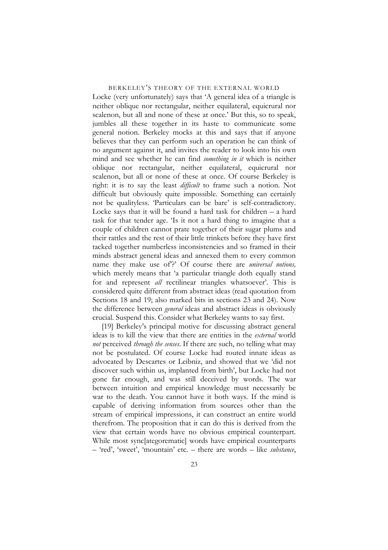Locke (very unfortunately) says that 'A general idea of a triangle is neither oblique nor rectangular, neither equilateral, equicrural nor scalenon, but all and none of these at once.' But this, so to speak, jumbles all these together in its haste to communicate some general notion. Berkeley mocks at this and says that if anyone believes that they can perform such an operation he can think of no argument against it, and invites the reader to look into his own mind and see whether he can find *something in it* which is neither oblique nor rectangular, neither equilateral, equicrural nor scalenon, but all or none of these at once. Of course Berkeley is right: it is to say the least *difficult* to frame such a notion. Not difficult but obviously quite impossible. Something can certainly not be qualityless. 'Particulars can be bare' is self-contradictory. Locke says that it will be found a hard task for children – a hard task for that tender age. 'Is it not a hard thing to imagine that a couple of children cannot prate together of their sugar plums and their rattles and the rest of their little trinkets before they have first tacked together numberless inconsistencies and so framed in their minds abstract general ideas and annexed them to every common name they make use of'?' Of course there are *universal notions,* which merely means that 'a particular triangle doth equally stand for and represent *all* rectilinear triangles whatsoever'. This is considered quite different from abstract ideas (read quotation from Sections 18 and 19; also marked bits in sections 23 and 24). Now the difference between *general* ideas and abstract ideas is obviously crucial. Suspend this. Consider what Berkeley wants to say first.

[19] Berkeley's principal motive for discussing abstract general ideas is to kill the view that there are entities in the *external* world *not* perceived *through the senses*. If there are such, no telling what may not be postulated. Of course Locke had routed innate ideas as advocated by Descartes or Leibniz, and showed that we 'did not discover such within us, implanted from birth', but Locke had not gone far enough, and was still deceived by words. The war between intuition and empirical knowledge must necessarily be war to the death. You cannot have it both ways. If the mind is capable of deriving information from sources other than the stream of empirical impressions, it can construct an entire world therefrom. The proposition that it can do this is derived from the view that certain words have no obvious empirical counterpart. While most sync[ategorematic] words have empirical counterparts – 'red', 'sweet', 'mountain' etc. – there are words – like *substance*,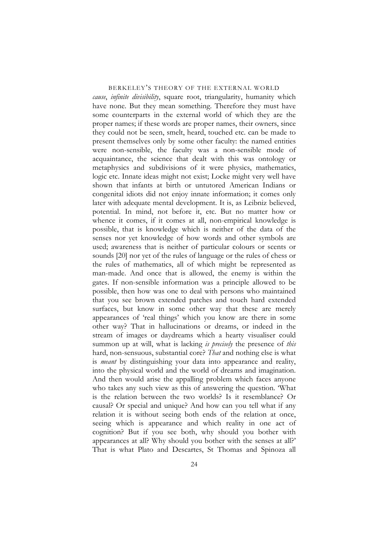*cause*, *infinite divisibility*, square root, triangularity, humanity which have none. But they mean something. Therefore they must have some counterparts in the external world of which they are the proper names; if these words are proper names, their owners, since they could not be seen, smelt, heard, touched etc. can be made to present themselves only by some other faculty: the named entities were non-sensible, the faculty was a non-sensible mode of acquaintance, the science that dealt with this was ontology or metaphysics and subdivisions of it were physics, mathematics, logic etc. Innate ideas might not exist; Locke might very well have shown that infants at birth or untutored American Indians or congenital idiots did not enjoy innate information; it comes only later with adequate mental development. It is, as Leibniz believed, potential. In mind, not before it, etc. But no matter how or whence it comes, if it comes at all, non-empirical knowledge is possible, that is knowledge which is neither of the data of the senses nor yet knowledge of how words and other symbols are used; awareness that is neither of particular colours or scents or sounds [20] nor yet of the rules of language or the rules of chess or the rules of mathematics, all of which might be represented as man-made. And once that is allowed, the enemy is within the gates. If non-sensible information was a principle allowed to be possible, then how was one to deal with persons who maintained that you see brown extended patches and touch hard extended surfaces, but know in some other way that these are merely appearances of 'real things' which you know are there in some other way? That in hallucinations or dreams, or indeed in the stream of images or daydreams which a hearty visualiser could summon up at will, what is lacking *is precisely* the presence of *this* hard, non-sensuous, substantial core? *That* and nothing else is what is *meant* by distinguishing your data into appearance and reality, into the physical world and the world of dreams and imagination. And then would arise the appalling problem which faces anyone who takes any such view as this of answering the question. 'What is the relation between the two worlds? Is it resemblance? Or causal? Or special and unique? And how can you tell what if any relation it is without seeing both ends of the relation at once, seeing which is appearance and which reality in one act of cognition? But if you see both, why should you bother with appearances at all? Why should you bother with the senses at all?' That is what Plato and Descartes, St Thomas and Spinoza all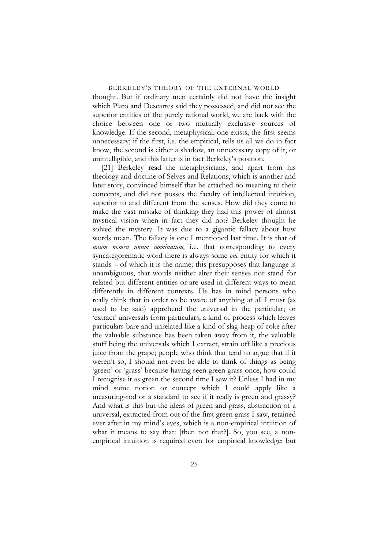thought. But if ordinary men certainly did not have the insight which Plato and Descartes said they possessed, and did not see the superior entities of the purely rational world, we are back with the choice between one or two mutually exclusive sources of knowledge. If the second, metaphysical, one exists, the first seems unnecessary; if the first, i.e. the empirical, tells us all we do in fact know, the second is either a shadow, an unnecessary copy of it, or unintelligible, and this latter is in fact Berkeley's position.

[21] Berkeley read the metaphysicians, and apart from his theology and doctine of Selves and Relations, which is another and later story, convinced himself that he attached no meaning to their concepts, and did not posses the faculty of intellectual intuition, superior to and different from the senses. How did they come to make the vast mistake of thinking they had this power of almost mystical vision when in fact they did not? Berkeley thought he solved the mystery. It was due to a gigantic fallacy about how words mean. The fallacy is one I mentioned last time. It is that of *unum nomen unum nominatum,* i.e. that corresponding to every syncategorematic word there is always some *one* entity for which it stands – of which it is the name; this presupposes that language is unambiguous, that words neither alter their senses nor stand for related but different entities or are used in different ways to mean differently in different contexts. He has in mind persons who really think that in order to be aware of anything at all I must (as used to be said) apprehend the universal in the particular; or 'extract' universals from particulars; a kind of process which leaves particulars bare and unrelated like a kind of slag-heap of coke after the valuable substance has been taken away from it, the valuable stuff being the universals which I extract, strain off like a precious juice from the grape; people who think that tend to argue that if it weren't so, I should not even be able to think of things as being 'green' or 'grass' because having seen green grass once, how could I recognise it as green the second time I saw it? Unless I had in my mind some notion or concept which I could apply like a measuring-rod or a standard to see if it really is green and grassy? And what is this but the ideas of green and grass, abstraction of a universal, extracted from out of the first green grass I saw, retained ever after in my mind's eyes, which is a non-empirical intuition of what it means to say that: [then not that?]. So, you see, a nonempirical intuition is required even for empirical knowledge: but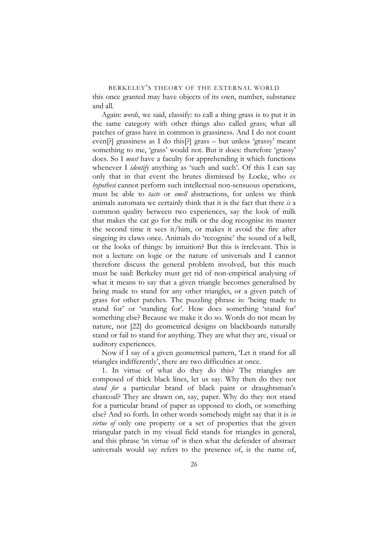BERKELEY'S THEORY OF THE EXTERNAL WORLD this once granted may have objects of its own, number, substance and all.

Again: *words*, we said, classify: to call a thing grass is to put it in the same category with other things also called grass; what all patches of grass have in common is grassiness. And I do not count even[?] grassiness as I do this[?] grass – but unless 'grassy' meant something to me, 'grass' would not. But it does: therefore 'grassy' does. So I *must* have a faculty for apprehending it which functions whenever I *identify* anything as 'such and such'. Of this I can say only that in that event the brutes dismissed by Locke, who *ex hypothesi* cannot perform such intellectual non-sensuous operations, must be able to *taste* or *smell* abstractions, for unless we think animals automata we certainly think that it is the fact that there *is* a common quality between two experiences, say the look of milk that makes the cat go for the milk or the dog recognise its master the second time it sees it/him, or makes it avoid the fire after singeing its claws once. Animals do 'recognise' the sound of a bell, or the looks of things: by intuition? But this is irrelevant. This is not a lecture on logic or the nature of universals and I cannot therefore discuss the general problem involved, but this much must be said: Berkeley must get rid of non-empirical analysing of what it means to say that a given triangle becomes generalised by being made to stand for any other triangles, or a given patch of grass for other patches. The puzzling phrase is: 'being made to stand for' or 'standing for'. How does something 'stand for' something else? Because we make it do so. Words do not mean by nature, nor [22] do geometrical designs on blackboards naturally stand or fail to stand for anything. They are what they are, visual or auditory experiences.

Now if I say of a given geometrical pattern, 'Let it stand for all triangles indifferently', there are two difficulties at once.

1. In virtue of what do they do this? The triangles are composed of thick black lines, let us say. Why then do they not *stand for* a particular brand of black paint or draughtsman's charcoal? They are drawn on, say, paper. Why do they not stand for a particular brand of paper as opposed to cloth, or something else? And so forth. In other words somebody might say that it is *in virtue of* only one property or a set of properties that the given triangular patch in my visual field stands for triangles in general, and this phrase 'in virtue of' is then what the defender of abstract universals would say refers to the presence of, is the name of,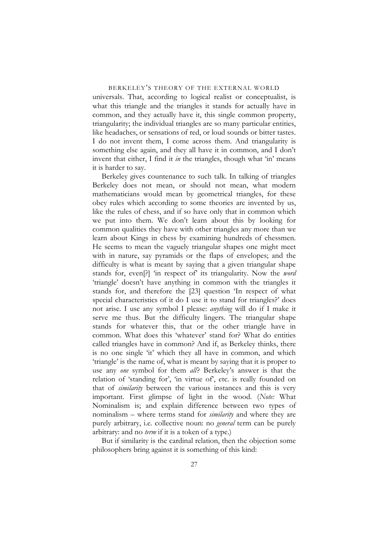universals. That, according to logical realist or conceptualist, is what this triangle and the triangles it stands for actually have in common, and they actually have it, this single common property, triangularity; the individual triangles are so many particular entities, like headaches, or sensations of red, or loud sounds or bitter tastes. I do not invent them, I come across them. And triangularity is something else again, and they all have it in common, and I don't invent that either, I find it *in* the triangles, though what 'in' means it is harder to say.

Berkeley gives countenance to such talk. In talking of triangles Berkeley does not mean, or should not mean, what modern mathematicians would mean by geometrical triangles, for these obey rules which according to some theories are invented by us, like the rules of chess, and if so have only that in common which we put into them. We don't learn about this by looking for common qualities they have with other triangles any more than we learn about Kings in chess by examining hundreds of chessmen. He seems to mean the vaguely triangular shapes one might meet with in nature, say pyramids or the flaps of envelopes; and the difficulty is what is meant by saying that a given triangular shape stands for, even[?] 'in respect of' its triangularity. Now the *word* 'triangle' doesn't have anything in common with the triangles it stands for, and therefore the [23] question 'In respect of what special characteristics of it do I use it to stand for triangles?' does not arise. I use any symbol I please: *anything* will do if I make it serve me thus. But the difficulty lingers. The triangular shape stands for whatever this, that or the other triangle have in common. What does this 'whatever' stand for? What do entities called triangles have in common? And if, as Berkeley thinks, there is no one single 'it' which they all have in common, and which 'triangle' is the name of, what is meant by saying that it is proper to use any *one* symbol for them *all*? Berkeley's answer is that the relation of 'standing for', 'in virtue of', etc. is really founded on that of *similarity* between the various instances and this is very important. First glimpse of light in the wood. (*Note:* What Nominalism is; and explain difference between two types of nominalism – where terms stand for *similarity* and where they are purely arbitrary, i.e. collective noun: no *general* term can be purely arbitrary: and no *term* if it is a token of a type.)

But if similarity is the cardinal relation, then the objection some philosophers bring against it is something of this kind: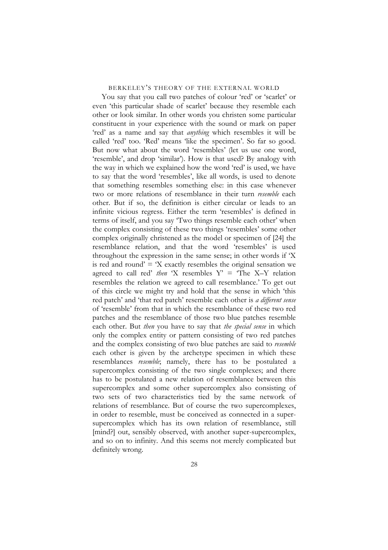You say that you call two patches of colour 'red' or 'scarlet' or even 'this particular shade of scarlet' because they resemble each other or look similar. In other words you christen some particular constituent in your experience with the sound or mark on paper 'red' as a name and say that *anything* which resembles it will be called 'red' too. 'Red' means 'like the specimen'. So far so good. But now what about the word 'resembles' (let us use one word, 'resemble', and drop 'similar'). How is that used? By analogy with the way in which we explained how the word 'red' is used, we have to say that the word 'resembles', like all words, is used to denote that something resembles something else: in this case whenever two or more relations of resemblance in their turn *resemble* each other. But if so, the definition is either circular or leads to an infinite vicious regress. Either the term 'resembles' is defined in terms of itself, and you say 'Two things resemble each other' when the complex consisting of these two things 'resembles' some other complex originally christened as the model or specimen of [24] the resemblance relation, and that the word 'resembles' is used throughout the expression in the same sense; in other words if 'X is red and round'  $=$  'X exactly resembles the original sensation we agreed to call red' *then* 'X resembles  $Y' =$  'The X–Y relation resembles the relation we agreed to call resemblance.' To get out of this circle we might try and hold that the sense in which 'this red patch' and 'that red patch' resemble each other is *a different sense* of 'resemble' from that in which the resemblance of these two red patches and the resemblance of those two blue patches resemble each other. But *then* you have to say that *the special sense* in which only the complex entity or pattern consisting of two red patches and the complex consisting of two blue patches are said to *resemble* each other is given by the archetype specimen in which these resemblances *resemble*; namely, there has to be postulated a supercomplex consisting of the two single complexes; and there has to be postulated a new relation of resemblance between this supercomplex and some other supercomplex also consisting of two sets of two characteristics tied by the same network of relations of resemblance. But of course the two supercomplexes, in order to resemble, must be conceived as connected in a supersupercomplex which has its own relation of resemblance, still [mind?] out, sensibly observed, with another super-supercomplex, and so on to infinity. And this seems not merely complicated but definitely wrong.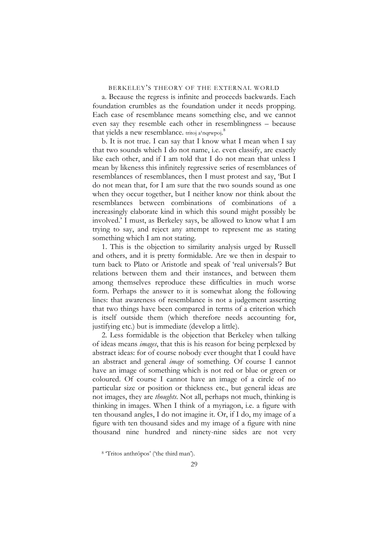a. Because the regress is infinite and proceeds backwards. Each foundation crumbles as the foundation under it needs propping. Each case of resemblance means something else, and we cannot even say they resemble each other in resemblingness – because that yields a new resemblance. tritoj a<sup>1</sup>nqrwpoj.<sup>[8](#page-28-0)</sup>

b. It is not true. I can say that I know what I mean when I say that two sounds which I do not name, i.e. even classify, are exactly like each other, and if I am told that I do not mean that unless I mean by likeness this infinitely regressive series of resemblances of resemblances of resemblances, then I must protest and say, 'But I do not mean that, for I am sure that the two sounds sound as one when they occur together, but I neither know nor think about the resemblances between combinations of combinations of a increasingly elaborate kind in which this sound might possibly be involved.' I must, as Berkeley says, be allowed to know what I am trying to say, and reject any attempt to represent me as stating something which I am not stating.

1. This is the objection to similarity analysis urged by Russell and others, and it is pretty formidable. Are we then in despair to turn back to Plato or Aristotle and speak of 'real universals'? But relations between them and their instances, and between them among themselves reproduce these difficulties in much worse form. Perhaps the answer to it is somewhat along the following lines: that awareness of resemblance is not a judgement asserting that two things have been compared in terms of a criterion which is itself outside them (which therefore needs accounting for, justifying etc.) but is immediate (develop a little).

2. Less formidable is the objection that Berkeley when talking of ideas means *images*, that this is his reason for being perplexed by abstract ideas: for of course nobody ever thought that I could have an abstract and general *image* of something. Of course I cannot have an image of something which is not red or blue or green or coloured. Of course I cannot have an image of a circle of no particular size or position or thickness etc., but general ideas are not images, they are *thoughts*. Not all, perhaps not much, thinking is thinking in images. When I think of a myriagon, i.e. a figure with ten thousand angles, I do not imagine it. Or, if I do, my image of a figure with ten thousand sides and my image of a figure with nine thousand nine hundred and ninety-nine sides are not very

<span id="page-28-0"></span><sup>8 &#</sup>x27;Tritos anthrōpos' ('the third man').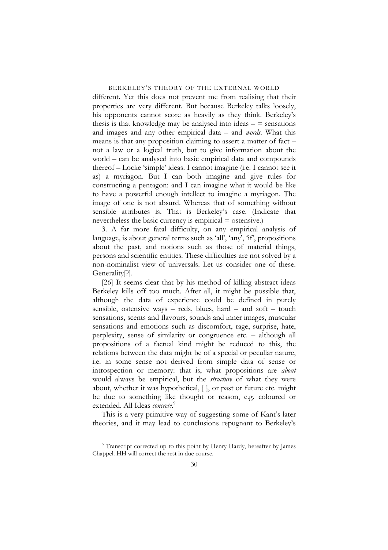different. Yet this does not prevent me from realising that their properties are very different. But because Berkeley talks loosely, his opponents cannot score as heavily as they think. Berkeley's thesis is that knowledge may be analysed into ideas  $-$  = sensations and images and any other empirical data – and *words*. What this means is that any proposition claiming to assert a matter of fact – not a law or a logical truth, but to give information about the world – can be analysed into basic empirical data and compounds thereof – Locke 'simple' ideas. I cannot imagine (i.e. I cannot see it as) a myriagon. But I can both imagine and give rules for constructing a pentagon: and I can imagine what it would be like to have a powerful enough intellect to imagine a myriagon. The image of one is not absurd. Whereas that of something without sensible attributes is. That is Berkeley's case. (Indicate that nevertheless the basic currency is empirical = ostensive.)

3. A far more fatal difficulty, on any empirical analysis of language, is about general terms such as 'all', 'any', 'if', propositions about the past, and notions such as those of material things, persons and scientific entities. These difficulties are not solved by a non-nominalist view of universals. Let us consider one of these. Generality[?].

[26] It seems clear that by his method of killing abstract ideas Berkeley kills off too much. After all, it might be possible that, although the data of experience could be defined in purely sensible, ostensive ways – reds, blues, hard – and soft – touch sensations, scents and flavours, sounds and inner images, muscular sensations and emotions such as discomfort, rage, surprise, hate, perplexity, sense of similarity or congruence etc. – although all propositions of a factual kind might be reduced to this, the relations between the data might be of a special or peculiar nature, i.e. in some sense not derived from simple data of sense or introspection or memory: that is, what propositions are *about* would always be empirical, but the *structure* of what they were about, whether it was hypothetical, [ ], or past or future etc. might be due to something like thought or reason, e.g. coloured or extended. All Ideas *concrete*. [9](#page-29-0)

This is a very primitive way of suggesting some of Kant's later theories, and it may lead to conclusions repugnant to Berkeley's

<span id="page-29-0"></span><sup>9</sup> Transcript corrected up to this point by Henry Hardy, hereafter by James Chappel. HH will correct the rest in due course.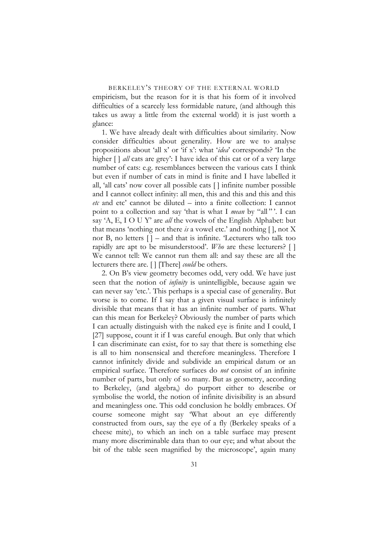empiricism, but the reason for it is that his form of it involved difficulties of a scarcely less formidable nature, (and although this takes us away a little from the external world) it is just worth a glance:

1. We have already dealt with difficulties about similarity. Now consider difficulties about generality. How are we to analyse propositions about 'all x' or 'if x': what '*idea*' corresponds? 'In the higher  $\lceil \cdot \rceil$  *all* cats are grey': I have idea of this cat or of a very large number of cats: e.g. resemblances between the various cats I think but even if number of cats in mind is finite and I have labelled it all, 'all cats' now cover all possible cats [ ] infinite number possible and I cannot collect infinity: all men, this and this and this and this *etc* and etc' cannot be diluted – into a finite collection: I cannot point to a collection and say 'that is what I *mean* by "all"'. I can say 'A, E, I O U Y' are *all* the vowels of the English Alphabet: but that means 'nothing not there *is* a vowel etc.' and nothing [ ], not X nor B, no letters  $\lceil \cdot \rceil$  – and that is infinite. Lecturers who talk too rapidly are apt to be misunderstood'. *Who* are these lecturers? [ ] We cannot tell: We cannot run them all: and say these are all the lecturers there are. [ ] [There] *could* be others.

2. On B's view geometry becomes odd, very odd. We have just seen that the notion of *infinity* is unintelligible, because again we can never say 'etc.'. This perhaps is a special case of generality. But worse is to come. If I say that a given visual surface is infinitely divisible that means that it has an infinite number of parts. What can this mean for Berkeley? Obviously the number of parts which I can actually distinguish with the naked eye is finite and I could, I [27] suppose, count it if I was careful enough. But only that which I can discriminate can exist, for to say that there is something else is all to him nonsensical and therefore meaningless. Therefore I cannot infinitely divide and subdivide an empirical datum or an empirical surface. Therefore surfaces do *not* consist of an infinite number of parts, but only of so many. But as geometry, according to Berkeley, (and algebra,) do purport either to describe or symbolise the world, the notion of infinite divisibility is an absurd and meaningless one. This odd conclusion he boldly embraces. Of course someone might say 'What about an eye differently constructed from ours, say the eye of a fly (Berkeley speaks of a cheese mite), to which an inch on a table surface may present many more discriminable data than to our eye; and what about the bit of the table seen magnified by the microscope', again many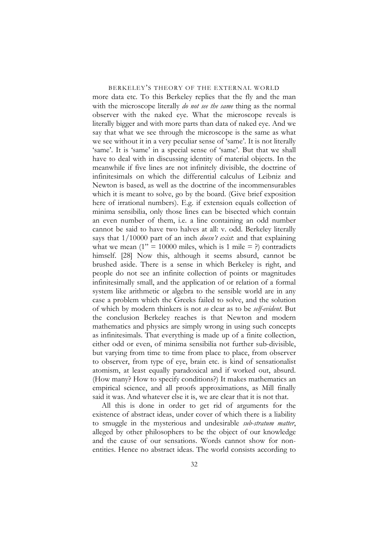more data etc. To this Berkeley replies that the fly and the man with the microscope literally *do not see the same* thing as the normal observer with the naked eye. What the microscope reveals is literally bigger and with more parts than data of naked eye. And we say that what we see through the microscope is the same as what we see without it in a very peculiar sense of 'same'. It is not literally 'same'. It is 'same' in a special sense of 'same'. But that we shall have to deal with in discussing identity of material objects. In the meanwhile if five lines are not infinitely divisible, the doctrine of infinitesimals on which the differential calculus of Leibniz and Newton is based, as well as the doctrine of the incommensurables which it is meant to solve, go by the board. (Give brief exposition here of irrational numbers). E.g. if extension equals collection of minima sensibilia, only those lines can be bisected which contain an even number of them, i.e. a line containing an odd number cannot be said to have two halves at all: v. odd. Berkeley literally says that 1/10000 part of an inch *doesn't exist*: and that explaining what we mean  $(1" = 10000$  miles, which is 1 mile  $= ?$ ) contradicts himself. [28] Now this, although it seems absurd, cannot be brushed aside. There is a sense in which Berkeley is right, and people do not see an infinite collection of points or magnitudes infinitesimally small, and the application of or relation of a formal system like arithmetic or algebra to the sensible world are in any case a problem which the Greeks failed to solve, and the solution of which by modern thinkers is not *so* clear as to be *self-evident*. But the conclusion Berkeley reaches is that Newton and modern mathematics and physics are simply wrong in using such concepts as infinitesimals. That everything is made up of a finite collection, either odd or even, of minima sensibilia not further sub-divisible, but varying from time to time from place to place, from observer to observer, from type of eye, brain etc. is kind of sensationalist atomism, at least equally paradoxical and if worked out, absurd. (How many? How to specify conditions?) It makes mathematics an empirical science, and all proofs approximations, as Mill finally said it was. And whatever else it is, we are clear that it is not that.

All this is done in order to get rid of arguments for the existence of abstract ideas, under cover of which there is a liability to smuggle in the mysterious and undesirable *sub-stratum matter*, alleged by other philosophers to be the object of our knowledge and the cause of our sensations. Words cannot show for nonentities. Hence no abstract ideas. The world consists according to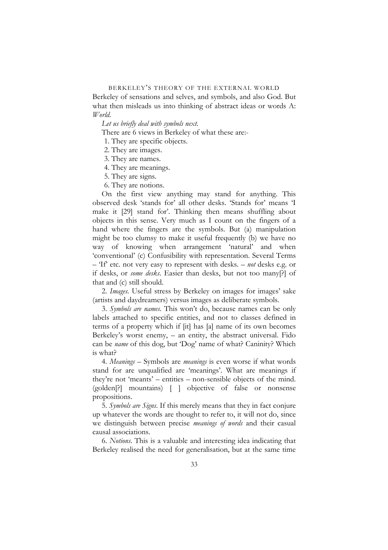Berkeley of sensations and selves, and symbols, and also God. But what then misleads us into thinking of abstract ideas or words A: *World*.

*Let us briefly deal with symbols next*.

There are 6 views in Berkeley of what these are:-

1. They are specific objects.

2. They are images.

3. They are names.

4. They are meanings.

5. They are signs.

6. They are notions.

On the first view anything may stand for anything. This observed desk 'stands for' all other desks. 'Stands for' means 'I make it [29] stand for'. Thinking then means shuffling about objects in this sense. Very much as I count on the fingers of a hand where the fingers are the symbols. But (a) manipulation might be too clumsy to make it useful frequently (b) we have no way of knowing when arrangement 'natural' and when 'conventional' (c) Confusibility with representation. Several Terms – 'If' etc. not very easy to represent with desks. – *not* desks e.g. or if desks, or *some desks*. Easier than desks, but not too many[?] of that and (c) still should.

2. *Images*. Useful stress by Berkeley on images for images' sake (artists and daydreamers) versus images as deliberate symbols.

3. *Symbols are names*. This won't do, because names can be only labels attached to specific entities, and not to classes defined in terms of a property which if [it] has [a] name of its own becomes Berkeley's worst enemy, – an entity, the abstract universal. Fido can be *name* of this dog, but 'Dog' name of what? Caninity? Which is what?

4. *Meanings* – Symbols are *meanings* is even worse if what words stand for are unqualified are 'meanings'. What are meanings if they're not 'meants' – entities – non-sensible objects of the mind. (golden[?] mountains) [ ] objective of false or nonsense propositions.

5. *Symbols are Signs*. If this merely means that they in fact conjure up whatever the words are thought to refer to, it will not do, since we distinguish between precise *meanings of words* and their casual causal associations.

6. *Notions*. This is a valuable and interesting idea indicating that Berkeley realised the need for generalisation, but at the same time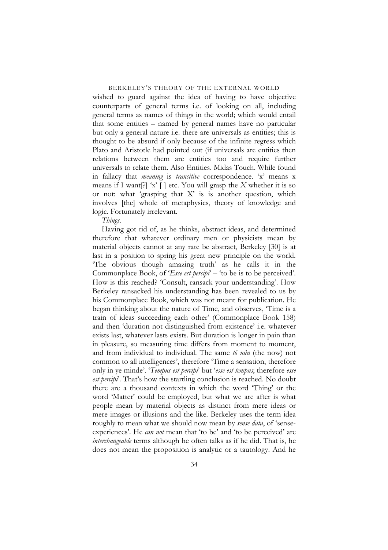wished to guard against the idea of having to have objective counterparts of general terms i.e. of looking on all, including general terms as names of things in the world; which would entail that some entities – named by general names have no particular but only a general nature i.e. there are universals as entities; this is thought to be absurd if only because of the infinite regress which Plato and Aristotle had pointed out (if universals are entities then relations between them are entities too and require further universals to relate them. Also Entities. Midas Touch. While found in fallacy that *meaning* is *transitive* correspondence. 'x' means x means if I want[?] 'x' [ ] etc. You will grasp the *X* whether it is so or not: what 'grasping that X' is is another question, which involves [the] whole of metaphysics, theory of knowledge and logic. Fortunately irrelevant.

*Things*.

Having got rid of, as he thinks, abstract ideas, and determined therefore that whatever ordinary men or physicists mean by material objects cannot at any rate be abstract, Berkeley [30] is at last in a position to spring his great new principle on the world. 'The obvious though amazing truth' as he calls it in the Commonplace Book, of '*Esse est percipi*' – 'to be is to be perceived'. How is this reached? 'Consult, ransack your understanding'. How Berkeley ransacked his understanding has been revealed to us by his Commonplace Book, which was not meant for publication. He began thinking about the nature of Time, and observes, 'Time is a train of ideas succeeding each other' (Commonplace Book 158) and then 'duration not distinguished from existence' i.e. whatever exists last, whatever lasts exists. But duration is longer in pain than in pleasure, so measuring time differs from moment to moment, and from individual to individual. The same *tō nûn* (the now) not common to all intelligences', therefore 'Time a sensation, therefore only in ye minde'. '*Tempus est percipi*' but '*esse est tempus*; therefore *esse est percipi*. That's how the startling conclusion is reached. No doubt there are a thousand contexts in which the word 'Thing' or the word 'Matter' could be employed, but what we are after is what people mean by material objects as distinct from mere ideas or mere images or illusions and the like. Berkeley uses the term idea roughly to mean what we should now mean by *sense data*, of 'senseexperiences'. He *can not* mean that 'to be' and 'to be perceived' are *interchangeable* terms although he often talks as if he did. That is, he does not mean the proposition is analytic or a tautology. And he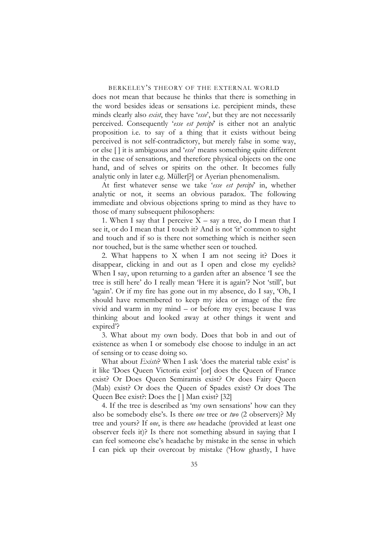does not mean that because he thinks that there is something in the word besides ideas or sensations i.e. percipient minds, these minds clearly also *exist*, they have '*esse*', but they are not necessarily perceived. Consequently '*esse est percipi*' is either not an analytic proposition i.e. to say of a thing that it exists without being perceived is not self-contradictory, but merely false in some way, or else [ ] it is ambiguous and '*esse*' means something quite different in the case of sensations, and therefore physical objects on the one hand, and of selves or spirits on the other. It becomes fully analytic only in later e.g. Müller[?] or Ayerian phenomenalism.

At first whatever sense we take '*esse est percipi*' in, whether analytic or not, it seems an obvious paradox. The following immediate and obvious objections spring to mind as they have to those of many subsequent philosophers:

1. When I say that I perceive  $X - say a$  tree, do I mean that I see it, or do I mean that I touch it? And is not 'it' common to sight and touch and if so is there not something which is neither seen nor touched, but is the same whether seen or touched.

2. What happens to X when I am not seeing it? Does it disappear, clicking in and out as I open and close my eyelids? When I say, upon returning to a garden after an absence 'I see the tree is still here' do I really mean 'Here it is again'? Not 'still', but 'again'. Or if my fire has gone out in my absence, do I say, 'Oh, I should have remembered to keep my idea or image of the fire vivid and warm in my mind – or before my eyes; because I was thinking about and looked away at other things it went and expired'?

3. What about my own body. Does that bob in and out of existence as when I or somebody else choose to indulge in an act of sensing or to cease doing so.

What about *Exists*? When I ask 'does the material table exist' is it like 'Does Queen Victoria exist' [or] does the Queen of France exist? Or Does Queen Semiramis exist? Or does Fairy Queen (Mab) exist? Or does the Queen of Spades exist? Or does The Queen Bee exist?: Does the [ ] Man exist? [32]

4. If the tree is described as 'my own sensations' how can they also be somebody else's. Is there *one* tree or *two* (2 observers)? My tree and yours? If *one*, is there *one* headache (provided at least one observer feels it)? Is there not something absurd in saying that I can feel someone else's headache by mistake in the sense in which I can pick up their overcoat by mistake ('How ghastly, I have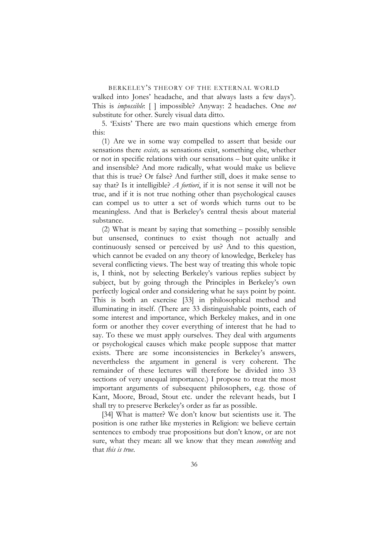walked into Jones' headache, and that always lasts a few days'). This is *impossible*: [ ] impossible? Anyway: 2 headaches. One *not* substitute for other. Surely visual data ditto.

5. 'Exists' There are two main questions which emerge from this:

(1) Are we in some way compelled to assert that beside our sensations there *exists,* as sensations exist, something else, whether or not in specific relations with our sensations – but quite unlike it and insensible? And more radically, what would make us believe that this is true? Or false? And further still, does it make sense to say that? Is it intelligible? *A fortiori*, if it is not sense it will not be true, and if it is not true nothing other than psychological causes can compel us to utter a set of words which turns out to be meaningless. And that is Berkeley's central thesis about material substance.

(2) What is meant by saying that something – possibly sensible but unsensed, continues to exist though not actually and continuously sensed or perceived by us? And to this question, which cannot be evaded on any theory of knowledge, Berkeley has several conflicting views. The best way of treating this whole topic is, I think, not by selecting Berkeley's various replies subject by subject, but by going through the Principles in Berkeley's own perfectly logical order and considering what he says point by point. This is both an exercise [33] in philosophical method and illuminating in itself. (There are 33 distinguishable points, each of some interest and importance, which Berkeley makes, and in one form or another they cover everything of interest that he had to say. To these we must apply ourselves. They deal with arguments or psychological causes which make people suppose that matter exists. There are some inconsistencies in Berkeley's answers, nevertheless the argument in general is very coherent. The remainder of these lectures will therefore be divided into 33 sections of very unequal importance.) I propose to treat the most important arguments of subsequent philosophers, e.g. those of Kant, Moore, Broad, Stout etc. under the relevant heads, but I shall try to preserve Berkeley's order as far as possible.

[34] What is matter? We don't know but scientists use it. The position is one rather like mysteries in Religion: we believe certain sentences to embody true propositions but don't know, or are not sure, what they mean: all we know that they mean *something* and that *this is true*.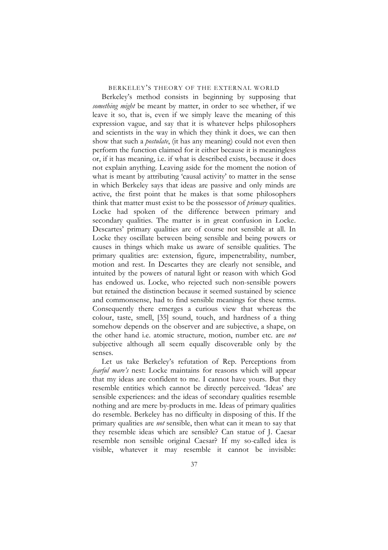Berkeley's method consists in beginning by supposing that *something might* be meant by matter, in order to see whether, if we leave it so, that is, even if we simply leave the meaning of this expression vague, and say that it is whatever helps philosophers and scientists in the way in which they think it does, we can then show that such a *postulate*, (it has any meaning) could not even then perform the function claimed for it either because it is meaningless or, if it has meaning, i.e. if what is described exists, because it does not explain anything. Leaving aside for the moment the notion of what is meant by attributing 'causal activity' to matter in the sense in which Berkeley says that ideas are passive and only minds are active, the first point that he makes is that some philosophers think that matter must exist to be the possessor of *primary* qualities. Locke had spoken of the difference between primary and secondary qualities. The matter is in great confusion in Locke. Descartes' primary qualities are of course not sensible at all. In Locke they oscillate between being sensible and being powers or causes in things which make us aware of sensible qualities. The primary qualities are: extension, figure, impenetrability, number, motion and rest. In Descartes they are clearly not sensible, and intuited by the powers of natural light or reason with which God has endowed us. Locke, who rejected such non-sensible powers but retained the distinction because it seemed sustained by science and commonsense, had to find sensible meanings for these terms. Consequently there emerges a curious view that whereas the colour, taste, smell, [35] sound, touch, and hardness of a thing somehow depends on the observer and are subjective, a shape, on the other hand i.e. atomic structure, motion, number etc. are *not* subjective although all seem equally discoverable only by the senses.

Let us take Berkeley's refutation of Rep. Perceptions from *fearful mare's* nest: Locke maintains for reasons which will appear that my ideas are confident to me. I cannot have yours. But they resemble entities which cannot be directly perceived. 'Ideas' are sensible experiences: and the ideas of secondary qualities resemble nothing and are mere by-products in me. Ideas of primary qualities do resemble. Berkeley has no difficulty in disposing of this. If the primary qualities are *not* sensible, then what can it mean to say that they resemble ideas which are sensible? Can statue of J. Caesar resemble non sensible original Caesar? If my so-called idea is visible, whatever it may resemble it cannot be invisible: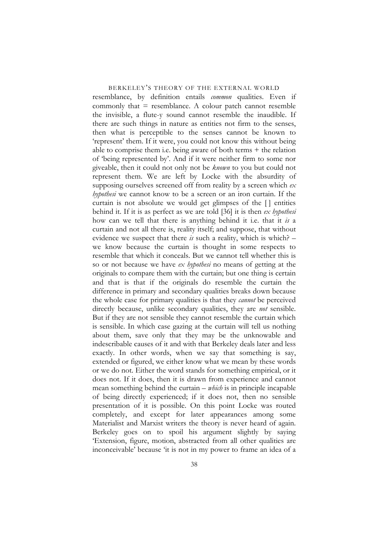resemblance, by definition entails *common* qualities. Even if commonly that  $=$  resemblance. A colour patch cannot resemble the invisible, a flute-y sound cannot resemble the inaudible. If there are such things in nature as entities not firm to the senses, then what is perceptible to the senses cannot be known to 'represent' them. If it were, you could not know this without being able to comprise them i.e. being aware of both terms + the relation of 'being represented by'. And if it were neither firm to some nor giveable, then it could not only not be *known* to you but could not represent them. We are left by Locke with the absurdity of supposing ourselves screened off from reality by a screen which *ex hypothesi* we cannot know to be a screen or an iron curtain. If the curtain is not absolute we would get glimpses of the [ ] entities behind it. If it is as perfect as we are told [36] it is then *ex hypothesi* how can we tell that there is anything behind it i.e. that it *is* a curtain and not all there is, reality itself; and suppose, that without evidence we suspect that there *is* such a reality, which is which? – we know because the curtain is thought in some respects to resemble that which it conceals. But we cannot tell whether this is so or not because we have *ex hypothesi* no means of getting at the originals to compare them with the curtain; but one thing is certain and that is that if the originals do resemble the curtain the difference in primary and secondary qualities breaks down because the whole case for primary qualities is that they *cannot* be perceived directly because, unlike secondary qualities, they are *not* sensible. But if they are not sensible they cannot resemble the curtain which is sensible. In which case gazing at the curtain will tell us nothing about them, save only that they may be the unknowable and indescribable causes of it and with that Berkeley deals later and less exactly. In other words, when we say that something is say, extended or figured, we either know what we mean by these words or we do not. Either the word stands for something empirical, or it does not. If it does, then it is drawn from experience and cannot mean something behind the curtain – *which* is in principle incapable of being directly experienced; if it does not, then no sensible presentation of it is possible. On this point Locke was routed completely, and except for later appearances among some Materialist and Marxist writers the theory is never heard of again. Berkeley goes on to spoil his argument slightly by saying 'Extension, figure, motion, abstracted from all other qualities are inconceivable' because 'it is not in my power to frame an idea of a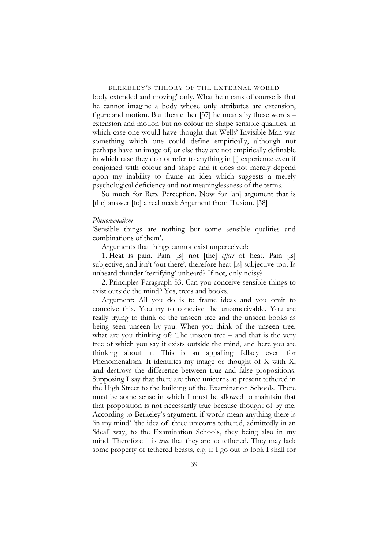body extended and moving' only. What he means of course is that he cannot imagine a body whose only attributes are extension, figure and motion. But then either [37] he means by these words – extension and motion but no colour no shape sensible qualities, in which case one would have thought that Wells' Invisible Man was something which one could define empirically, although not perhaps have an image of, or else they are not empirically definable in which case they do not refer to anything in [ ] experience even if conjoined with colour and shape and it does not merely depend upon my inability to frame an idea which suggests a merely psychological deficiency and not meaninglessness of the terms.

So much for Rep. Perception. Now for [an] argument that is [the] answer [to] a real need: Argument from Illusion. [38]

#### *Phenomenalism*

'Sensible things are nothing but some sensible qualities and combinations of them'.

Arguments that things cannot exist unperceived:

1. Heat is pain. Pain [is] not [the] *effect* of heat. Pain [is] subjective, and isn't 'out there', therefore heat [is] subjective too. Is unheard thunder 'terrifying' unheard? If not, only noisy?

2. Principles Paragraph 53. Can you conceive sensible things to exist outside the mind? Yes, trees and books.

Argument: All you do is to frame ideas and you omit to conceive this. You try to conceive the unconceivable. You are really trying to think of the unseen tree and the unseen books as being seen unseen by you. When you think of the unseen tree, what are you thinking of? The unseen tree – and that is the very tree of which you say it exists outside the mind, and here you are thinking about it. This is an appalling fallacy even for Phenomenalism. It identifies my image or thought of X with X, and destroys the difference between true and false propositions. Supposing I say that there are three unicorns at present tethered in the High Street to the building of the Examination Schools. There must be some sense in which I must be allowed to maintain that that proposition is not necessarily true because thought of by me. According to Berkeley's argument, if words mean anything there is 'in my mind' 'the idea of' three unicorns tethered, admittedly in an 'ideal' way, to the Examination Schools, they being also in my mind. Therefore it is *true* that they are so tethered. They may lack some property of tethered beasts, e.g. if I go out to look I shall for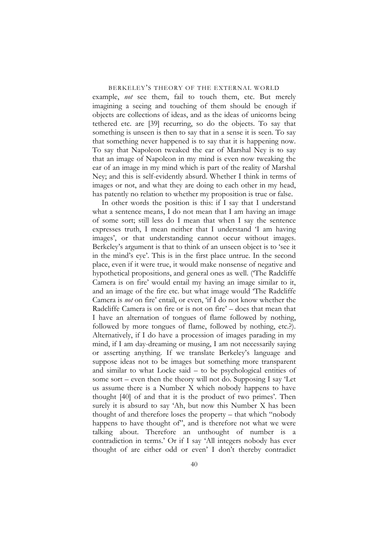example, *not* see them, fail to touch them, etc. But merely imagining a seeing and touching of them should be enough if objects are collections of ideas, and as the ideas of unicorns being tethered etc. are [39] recurring, so do the objects. To say that something is unseen is then to say that in a sense it is seen. To say that something never happened is to say that it is happening now. To say that Napoleon tweaked the ear of Marshal Ney is to say that an image of Napoleon in my mind is even now tweaking the ear of an image in my mind which is part of the reality of Marshal Ney; and this is self-evidently absurd. Whether I think in terms of images or not, and what they are doing to each other in my head, has patently no relation to whether my proposition is true or false.

In other words the position is this: if I say that I understand what a sentence means, I do not mean that I am having an image of some sort; still less do I mean that when I say the sentence expresses truth, I mean neither that I understand 'I am having images', or that understanding cannot occur without images. Berkeley's argument is that to think of an unseen object is to 'see it in the mind's eye'. This is in the first place untrue. In the second place, even if it were true, it would make nonsense of negative and hypothetical propositions, and general ones as well. ('The Radcliffe Camera is on fire' would entail my having an image similar to it, and an image of the fire etc. but what image would 'The Radcliffe Camera is *not* on fire' entail, or even, 'if I do not know whether the Radcliffe Camera is on fire or is not on fire' – does that mean that I have an alternation of tongues of flame followed by nothing, followed by more tongues of flame, followed by nothing, etc.?). Alternatively, if I do have a procession of images parading in my mind, if I am day-dreaming or musing, I am not necessarily saying or asserting anything. If we translate Berkeley's language and suppose ideas not to be images but something more transparent and similar to what Locke said – to be psychological entities of some sort – even then the theory will not do. Supposing I say 'Let us assume there is a Number X which nobody happens to have thought [40] of and that it is the product of two primes'. Then surely it is absurd to say 'Ah, but now this Number X has been thought of and therefore loses the property – that which "nobody happens to have thought of", and is therefore not what we were talking about. Therefore an unthought of number is a contradiction in terms.' Or if I say 'All integers nobody has ever thought of are either odd or even' I don't thereby contradict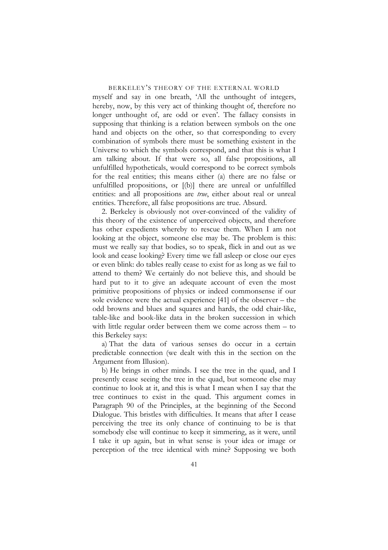myself and say in one breath, 'All the unthought of integers, hereby, now, by this very act of thinking thought of, therefore no longer unthought of, are odd or even'. The fallacy consists in supposing that thinking is a relation between symbols on the one hand and objects on the other, so that corresponding to every combination of symbols there must be something existent in the Universe to which the symbols correspond, and that this is what I am talking about. If that were so, all false propositions, all unfulfilled hypotheticals, would correspond to be correct symbols for the real entities; this means either (a) there are no false or unfulfilled propositions, or [(b)] there are unreal or unfulfilled entities: and all propositions are *true*, either about real or unreal entities. Therefore, all false propositions are true. Absurd.

2. Berkeley is obviously not over-convinced of the validity of this theory of the existence of unperceived objects, and therefore has other expedients whereby to rescue them. When I am not looking at the object, someone else may be. The problem is this: must we really say that bodies, so to speak, flick in and out as we look and cease looking? Every time we fall asleep or close our eyes or even blink: do tables really cease to exist for as long as we fail to attend to them? We certainly do not believe this, and should be hard put to it to give an adequate account of even the most primitive propositions of physics or indeed commonsense if our sole evidence were the actual experience [41] of the observer – the odd browns and blues and squares and hards, the odd chair-like, table-like and book-like data in the broken succession in which with little regular order between them we come across them – to this Berkeley says:

a) That the data of various senses do occur in a certain predictable connection (we dealt with this in the section on the Argument from Illusion).

b) He brings in other minds. I see the tree in the quad, and I presently cease seeing the tree in the quad, but someone else may continue to look at it, and this is what I mean when I say that the tree continues to exist in the quad. This argument comes in Paragraph 90 of the Principles, at the beginning of the Second Dialogue. This bristles with difficulties. It means that after I cease perceiving the tree its only chance of continuing to be is that somebody else will continue to keep it simmering, as it were, until I take it up again, but in what sense is your idea or image or perception of the tree identical with mine? Supposing we both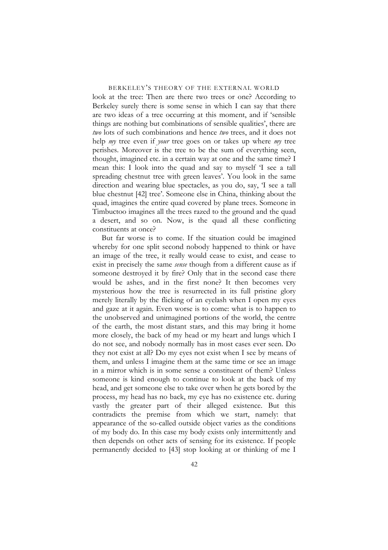look at the tree: Then are there two trees or one? According to Berkeley surely there is some sense in which I can say that there are two ideas of a tree occurring at this moment, and if 'sensible things are nothing but combinations of sensible qualities', there are *two* lots of such combinations and hence *two* trees, and it does not help *my* tree even if *your* tree goes on or takes up where *my* tree perishes. Moreover is the tree to be the sum of everything seen, thought, imagined etc. in a certain way at one and the same time? I mean this: I look into the quad and say to myself 'I see a tall spreading chestnut tree with green leaves'. You look in the same direction and wearing blue spectacles, as you do, say, 'I see a tall blue chestnut [42] tree'. Someone else in China, thinking about the quad, imagines the entire quad covered by plane trees. Someone in Timbuctoo imagines all the trees razed to the ground and the quad a desert, and so on. Now, is the quad all these conflicting constituents at once?

But far worse is to come. If the situation could be imagined whereby for one split second nobody happened to think or have an image of the tree, it really would cease to exist, and cease to exist in precisely the same *sense* though from a different cause as if someone destroyed it by fire? Only that in the second case there would be ashes, and in the first none? It then becomes very mysterious how the tree is resurrected in its full pristine glory merely literally by the flicking of an eyelash when I open my eyes and gaze at it again. Even worse is to come: what is to happen to the unobserved and unimagined portions of the world, the centre of the earth, the most distant stars, and this may bring it home more closely, the back of my head or my heart and lungs which I do not see, and nobody normally has in most cases ever seen. Do they not exist at all? Do my eyes not exist when I see by means of them, and unless I imagine them at the same time or see an image in a mirror which is in some sense a constituent of them? Unless someone is kind enough to continue to look at the back of my head, and get someone else to take over when he gets bored by the process, my head has no back, my eye has no existence etc. during vastly the greater part of their alleged existence. But this contradicts the premise from which we start, namely: that appearance of the so-called outside object varies as the conditions of my body do. In this case my body exists only intermittently and then depends on other acts of sensing for its existence. If people permanently decided to [43] stop looking at or thinking of me I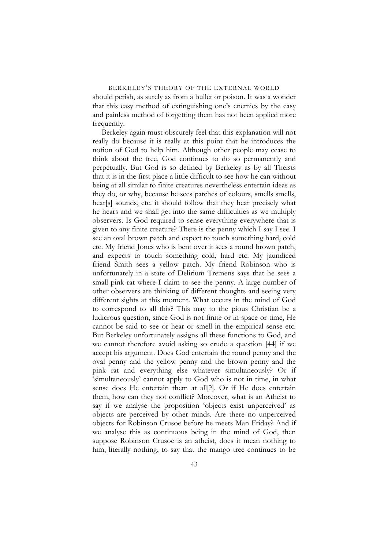# BERKELEY'S THEORY OF THE EXTERNAL WORLD should perish, as surely as from a bullet or poison. It was a wonder that this easy method of extinguishing one's enemies by the easy and painless method of forgetting them has not been applied more frequently.

Berkeley again must obscurely feel that this explanation will not really do because it is really at this point that he introduces the notion of God to help him. Although other people may cease to think about the tree, God continues to do so permanently and perpetually. But God is so defined by Berkeley as by all Theists that it is in the first place a little difficult to see how he can without being at all similar to finite creatures nevertheless entertain ideas as they do, or why, because he sees patches of colours, smells smells, hear[s] sounds, etc. it should follow that they hear precisely what he hears and we shall get into the same difficulties as we multiply observers. Is God required to sense everything everywhere that is given to any finite creature? There is the penny which I say I see. I see an oval brown patch and expect to touch something hard, cold etc. My friend Jones who is bent over it sees a round brown patch, and expects to touch something cold, hard etc. My jaundiced friend Smith sees a yellow patch. My friend Robinson who is unfortunately in a state of Delirium Tremens says that he sees a small pink rat where I claim to see the penny. A large number of other observers are thinking of different thoughts and seeing very different sights at this moment. What occurs in the mind of God to correspond to all this? This may to the pious Christian be a ludicrous question, since God is not finite or in space or time, He cannot be said to see or hear or smell in the empirical sense etc. But Berkeley unfortunately assigns all these functions to God, and we cannot therefore avoid asking so crude a question [44] if we accept his argument. Does God entertain the round penny and the oval penny and the yellow penny and the brown penny and the pink rat and everything else whatever simultaneously? Or if 'simultaneously' cannot apply to God who is not in time, in what sense does He entertain them at all[?]. Or if He does entertain them, how can they not conflict? Moreover, what is an Atheist to say if we analyse the proposition 'objects exist unperceived' as objects are perceived by other minds. Are there no unperceived objects for Robinson Crusoe before he meets Man Friday? And if we analyse this as continuous being in the mind of God, then suppose Robinson Crusoe is an atheist, does it mean nothing to him, literally nothing, to say that the mango tree continues to be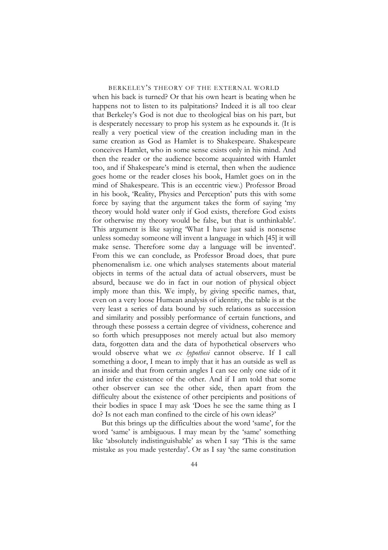when his back is turned? Or that his own heart is beating when he happens not to listen to its palpitations? Indeed it is all too clear that Berkeley's God is not due to theological bias on his part, but is desperately necessary to prop his system as he expounds it. (It is really a very poetical view of the creation including man in the same creation as God as Hamlet is to Shakespeare. Shakespeare conceives Hamlet, who in some sense exists only in his mind. And then the reader or the audience become acquainted with Hamlet too, and if Shakespeare's mind is eternal, then when the audience goes home or the reader closes his book, Hamlet goes on in the mind of Shakespeare. This is an eccentric view.) Professor Broad in his book, 'Reality, Physics and Perception' puts this with some force by saying that the argument takes the form of saying 'my theory would hold water only if God exists, therefore God exists for otherwise my theory would be false, but that is unthinkable'. This argument is like saying 'What I have just said is nonsense unless someday someone will invent a language in which [45] it will make sense. Therefore some day a language will be invented'. From this we can conclude, as Professor Broad does, that pure phenomenalism i.e. one which analyses statements about material objects in terms of the actual data of actual observers, must be absurd, because we do in fact in our notion of physical object imply more than this. We imply, by giving specific names, that, even on a very loose Humean analysis of identity, the table is at the very least a series of data bound by such relations as succession and similarity and possibly performance of certain functions, and through these possess a certain degree of vividness, coherence and so forth which presupposes not merely actual but also memory data, forgotten data and the data of hypothetical observers who would observe what we *ex hypothesi* cannot observe. If I call something a door, I mean to imply that it has an outside as well as an inside and that from certain angles I can see only one side of it and infer the existence of the other. And if I am told that some other observer can see the other side, then apart from the difficulty about the existence of other percipients and positions of their bodies in space I may ask 'Does he see the same thing as I do? Is not each man confined to the circle of his own ideas?'

But this brings up the difficulties about the word 'same', for the word 'same' is ambiguous. I may mean by the 'same' something like 'absolutely indistinguishable' as when I say 'This is the same mistake as you made yesterday'. Or as I say 'the same constitution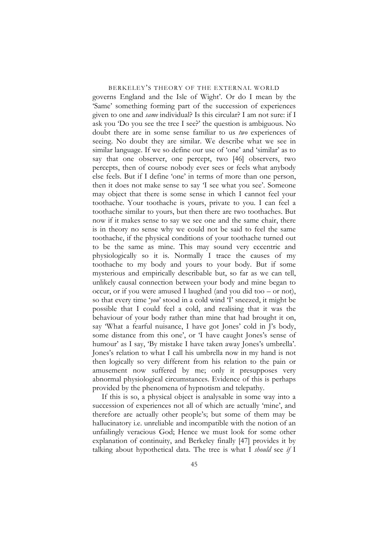governs England and the Isle of Wight'. Or do I mean by the 'Same' something forming part of the succession of experiences given to one and *same* individual? Is this circular? I am not sure: if I ask you 'Do you see the tree I see?' the question is ambiguous. No doubt there are in some sense familiar to us *two* experiences of seeing. No doubt they are similar. We describe what we see in similar language. If we so define our use of 'one' and 'similar' as to say that one observer, one percept, two [46] observers, two percepts, then of course nobody ever sees or feels what anybody else feels. But if I define 'one' in terms of more than one person, then it does not make sense to say 'I see what you see'. Someone may object that there is some sense in which I cannot feel your toothache. Your toothache is yours, private to you. I can feel a toothache similar to yours, but then there are two toothaches. But now if it makes sense to say we see one and the same chair, there is in theory no sense why we could not be said to feel the same toothache, if the physical conditions of your toothache turned out to be the same as mine. This may sound very eccentric and physiologically so it is. Normally I trace the causes of my toothache to my body and yours to your body. But if some mysterious and empirically describable but, so far as we can tell, unlikely causal connection between your body and mine began to occur, or if you were amused I laughed (and you did too – or not), so that every time '*you*' stood in a cold wind 'I' sneezed, it might be possible that I could feel a cold, and realising that it was the behaviour of your body rather than mine that had brought it on, say 'What a fearful nuisance, I have got Jones' cold in J's body, some distance from this one', or 'I have caught Jones's sense of humour' as I say, 'By mistake I have taken away Jones's umbrella'. Jones's relation to what I call his umbrella now in my hand is not then logically so very different from his relation to the pain or amusement now suffered by me; only it presupposes very abnormal physiological circumstances. Evidence of this is perhaps provided by the phenomena of hypnotism and telepathy.

If this is so, a physical object is analysable in some way into a succession of experiences not all of which are actually 'mine', and therefore are actually other people's; but some of them may be hallucinatory i.e. unreliable and incompatible with the notion of an unfailingly veracious God; Hence we must look for some other explanation of continuity, and Berkeley finally [47] provides it by talking about hypothetical data. The tree is what I *should* see *if* I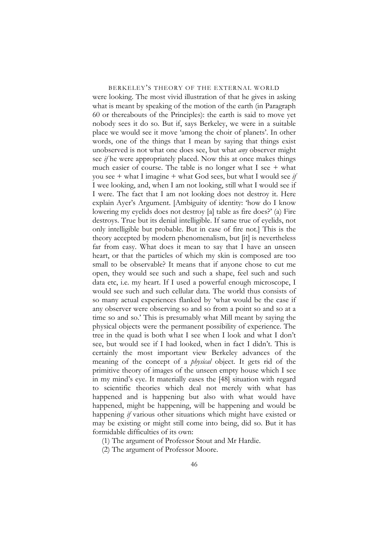were looking. The most vivid illustration of that he gives in asking what is meant by speaking of the motion of the earth (in Paragraph 60 or thereabouts of the Principles): the earth is said to move yet nobody sees it do so. But if, says Berkeley, we were in a suitable place we would see it move 'among the choir of planets'. In other words, one of the things that I mean by saying that things exist unobserved is not what one does see, but what *any* observer might see *if* he were appropriately placed. Now this at once makes things much easier of course. The table is no longer what I see + what you see + what I imagine + what God sees, but what I would see *if* I wee looking, and, when I am not looking, still what I would see if I were. The fact that I am not looking does not destroy it. Here explain Ayer's Argument. [Ambiguity of identity: 'how do I know lowering my eyelids does not destroy [a] table as fire does?' (a) Fire destroys. True but its denial intelligible. If same true of eyelids, not only intelligible but probable. But in case of fire not.] This is the theory accepted by modern phenomenalism, but [it] is nevertheless far from easy. What does it mean to say that I have an unseen heart, or that the particles of which my skin is composed are too small to be observable? It means that if anyone chose to cut me open, they would see such and such a shape, feel such and such data etc, i.e. my heart. If I used a powerful enough microscope, I would see such and such cellular data. The world thus consists of so many actual experiences flanked by 'what would be the case if any observer were observing so and so from a point so and so at a time so and so.' This is presumably what Mill meant by saying the physical objects were the permanent possibility of experience. The tree in the quad is both what I see when I look and what I don't see, but would see if I had looked, when in fact I didn't. This is certainly the most important view Berkeley advances of the meaning of the concept of a *physical* object. It gets rid of the primitive theory of images of the unseen empty house which I see in my mind's eye. It materially eases the [48] situation with regard to scientific theories which deal not merely with what has happened and is happening but also with what would have happened, might be happening, will be happening and would be happening *if* various other situations which might have existed or may be existing or might still come into being, did so. But it has formidable difficulties of its own:

(1) The argument of Professor Stout and Mr Hardie.

(2) The argument of Professor Moore.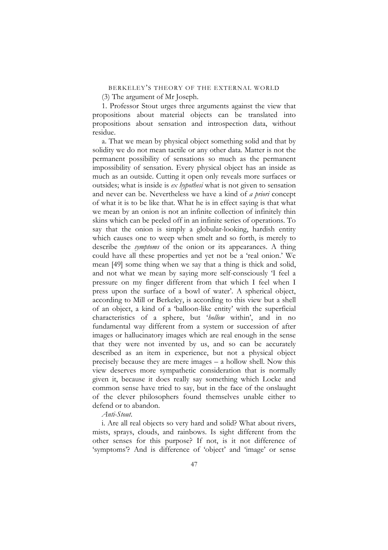(3) The argument of Mr Joseph.

1. Professor Stout urges three arguments against the view that propositions about material objects can be translated into propositions about sensation and introspection data, without residue.

a. That we mean by physical object something solid and that by solidity we do not mean tactile or any other data. Matter is not the permanent possibility of sensations so much as the permanent impossibility of sensation. Every physical object has an inside as much as an outside. Cutting it open only reveals more surfaces or outsides; what is inside is *ex hypothesi* what is not given to sensation and never can be. Nevertheless we have a kind of *a priori* concept of what it is to be like that. What he is in effect saying is that what we mean by an onion is not an infinite collection of infinitely thin skins which can be peeled off in an infinite series of operations. To say that the onion is simply a globular-looking, hardish entity which causes one to weep when smelt and so forth, is merely to describe the *symptoms* of the onion or its appearances. A thing could have all these properties and yet not be a 'real onion.' We mean [49] some thing when we say that a thing is thick and solid, and not what we mean by saying more self-consciously 'I feel a pressure on my finger different from that which I feel when I press upon the surface of a bowl of water'. A spherical object, according to Mill or Berkeley, is according to this view but a shell of an object, a kind of a 'balloon-like entity' with the superficial characteristics of a sphere, but '*hollow* within', and in no fundamental way different from a system or succession of after images or hallucinatory images which are real enough in the sense that they were not invented by us, and so can be accurately described as an item in experience, but not a physical object precisely because they are mere images – a hollow shell. Now this view deserves more sympathetic consideration that is normally given it, because it does really say something which Locke and common sense have tried to say, but in the face of the onslaught of the clever philosophers found themselves unable either to defend or to abandon.

*Anti-Stout*.

i. Are all real objects so very hard and solid? What about rivers, mists, sprays, clouds, and rainbows. Is sight different from the other senses for this purpose? If not, is it not difference of 'symptoms'? And is difference of 'object' and 'image' or sense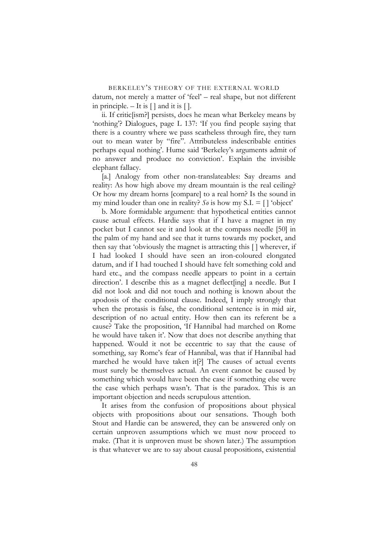BERKELEY'S THEORY OF THE EXTERNAL WORLD datum, not merely a matter of 'feel' – real shape, but not different in principle.  $-$  It is  $[$   $]$  and it is  $[$   $]$ .

ii. If critic[ism?] persists, does he mean what Berkeley means by 'nothing'? Dialogues, page L 137: 'If you find people saying that there is a country where we pass scatheless through fire, they turn out to mean water by "fire". Attributeless indescribable entities perhaps equal nothing'. Hume said 'Berkeley's arguments admit of no answer and produce no conviction'. Explain the invisible elephant fallacy.

[a.] Analogy from other non-translateables: Say dreams and reality: As how high above my dream mountain is the real ceiling? Or how my dream horns [compare] to a real horn? Is the sound in my mind louder than one in reality?  $S\vartheta$  is how my S.I. = [] 'object'

b. More formidable argument: that hypothetical entities cannot cause actual effects. Hardie says that if I have a magnet in my pocket but I cannot see it and look at the compass needle [50] in the palm of my hand and see that it turns towards my pocket, and then say that 'obviously the magnet is attracting this [ ] wherever, if I had looked I should have seen an iron-coloured elongated datum, and if I had touched I should have felt something cold and hard etc., and the compass needle appears to point in a certain direction'. I describe this as a magnet deflect[ing] a needle. But I did not look and did not touch and nothing is known about the apodosis of the conditional clause. Indeed, I imply strongly that when the protasis is false, the conditional sentence is in mid air, description of no actual entity. How then can its referent be a cause? Take the proposition, 'If Hannibal had marched on Rome he would have taken it'. Now that does not describe anything that happened. Would it not be eccentric to say that the cause of something, say Rome's fear of Hannibal, was that if Hannibal had marched he would have taken it[?] The causes of actual events must surely be themselves actual. An event cannot be caused by something which would have been the case if something else were the case which perhaps wasn't. That is the paradox. This is an important objection and needs scrupulous attention.

It arises from the confusion of propositions about physical objects with propositions about our sensations. Though both Stout and Hardie can be answered, they can be answered only on certain unproven assumptions which we must now proceed to make. (That it is unproven must be shown later.) The assumption is that whatever we are to say about causal propositions, existential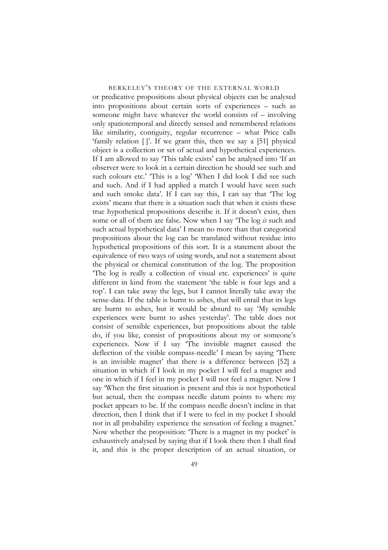or predicative propositions about physical objects can be analysed into propositions about certain sorts of experiences – such as someone might have whatever the world consists of – involving only spatiotemporal and directly sensed and remembered relations like similarity, contiguity, regular recurrence – what Price calls 'family relation [ ]'. If we grant this, then we say a [51] physical object is a collection or set of actual and hypothetical experiences. If I am allowed to say 'This table exists' can be analysed into 'If an observer were to look in a certain direction he should see such and such colours etc.' 'This is a log' 'When I did look I did see such and such. And if I had applied a match I would have seen such and such smoke data'. If I can say this, I can say that 'The log exists' means that there is a situation such that when it exists these true hypothetical propositions describe it. If it doesn't exist, then some or all of them are false. Now when I say 'The log *is* such and such actual hypothetical data' I mean no more than that categorical propositions about the log can be translated without residue into hypothetical propositions of this sort. It is a statement about the equivalence of two ways of using words, and not a statement about the physical or chemical constitution of the log. The proposition 'The log is really a collection of visual etc. experiences' is quite different in kind from the statement 'the table is four legs and a top'. I can take away the legs, but I cannot literally take away the sense-data. If the table is burnt to ashes, that will entail that its legs are burnt to ashes, but it would be absurd to say 'My sensible experiences were burnt to ashes yesterday'. The table does not consist of sensible experiences, but propositions about the table do, if you like, consist of propositions about my or someone's experiences. Now if I say 'The invisible magnet caused the deflection of the visible compass-needle' I mean by saying 'There is an invisible magnet' that there is a difference between [52] a situation in which if I look in my pocket I will feel a magnet and one in which if I feel in my pocket I will not feel a magnet. Now I say 'When the first situation is present and this is not hypothetical but actual, then the compass needle datum points to where my pocket appears to be. If the compass needle doesn't incline in that direction, then I think that if I were to feel in my pocket I should not in all probability experience the sensation of feeling a magnet.' Now whether the proposition: 'There is a magnet in my pocket' is exhaustively analysed by saying that if I look there then I shall find it, and this is the proper description of an actual situation, or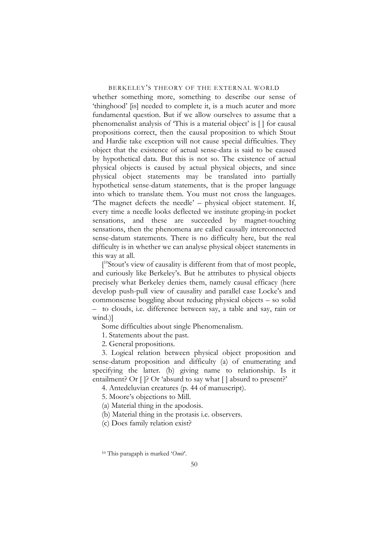whether something more, something to describe our sense of 'thinghood' [is] needed to complete it, is a much acuter and more fundamental question. But if we allow ourselves to assume that a phenomenalist analysis of 'This is a material object' is [ ] for causal propositions correct, then the causal proposition to which Stout and Hardie take exception will not cause special difficulties. They object that the existence of actual sense-data is said to be caused by hypothetical data. But this is not so. The existence of actual physical objects is caused by actual physical objects, and since physical object statements may be translated into partially hypothetical sense-datum statements, that is the proper language into which to translate them. You must not cross the languages. 'The magnet defects the needle' – physical object statement. If, every time a needle looks deflected we institute groping-in pocket sensations, and these are succeeded by magnet-touching sensations, then the phenomena are called causally interconnected sense-datum statements. There is no difficulty here, but the real difficulty is in whether we can analyse physical object statements in this way at all.

<sup>10</sup>Stout's view of causality is different from that of most people, and curiously like Berkeley's. But he attributes to physical objects precisely what Berkeley denies them, namely causal efficacy (here develop push-pull view of causality and parallel case Locke's and commonsense boggling about reducing physical objects – so solid – to clouds, i.e. difference between say, a table and say, rain or wind.)]

Some difficulties about single Phenomenalism.

1. Statements about the past.

2. General propositions.

3. Logical relation between physical object proposition and sense-datum proposition and difficulty (a) of enumerating and specifying the latter. (b) giving name to relationship. Is it entailment? Or []? Or 'absurd to say what [] absurd to present?'

4. Antedeluvian creatures (p. 44 of manuscript).

5. Moore's objections to Mill.

(a) Material thing in the apodosis.

(b) Material thing in the protasis i.e. observers.

(c) Does family relation exist?

<span id="page-49-0"></span><sup>10</sup> This paragaph is marked '*Omit*'.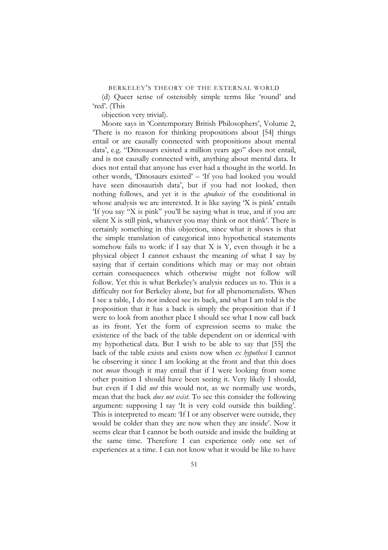(d) Queer sense of ostensibly simple terms like 'round' and 'red'. (This

objection very trivial).

Moore says in 'Contemporary British Philosophers', Volume 2, 'There is no reason for thinking propositions about [54] things entail or are causally connected with propositions about mental data', e.g. "Dinosaurs existed a million years ago" does not entail, and is not causally connected with, anything about mental data. It does not entail that anyone has ever had a thought in the world. In other words, 'Dinosaurs existed' – 'If you had looked you would have seen dinosaurish data', but if you had not looked, then nothing follows, and yet it is the *apodosis* of the conditional in whose analysis we are interested. It is like saying 'X is pink' entails 'If you say "X is pink" you'll be saying what is true, and if you are silent X is still pink, whatever you may think or not think'. There is certainly something in this objection, since what it shows is that the simple translation of categorical into hypothetical statements somehow fails to work: if I say that X is Y, even though it be a physical object I cannot exhaust the meaning of what I say by saying that if certain conditions which may or may not obtain certain consequences which otherwise might not follow will follow. Yet this is what Berkeley's analysis reduces us to. This is a difficulty not for Berkeley alone, but for all phenomenalists. When I see a table, I do not indeed see its back, and what I am told is the proposition that it has a back is simply the proposition that if I were to look from another place I should see what I now call back as its front. Yet the form of expression seems to make the existence of the back of the table dependent on or identical with my hypothetical data. But I wish to be able to say that [55] the back of the table exists and exists now when *ex hypothesi* I cannot be observing it since I am looking at the front and that this does not *mean* though it may entail that if I were looking from some other position I should have been seeing it. Very likely I should, but even if I did *not* this would not, as we normally use words, mean that the back *does not exist*. To see this consider the following argument: supposing I say 'It is very cold outside this building'. This is interpreted to mean: 'If I or any observer were outside, they would be colder than they are now when they are inside'. Now it seems clear that I cannot be both outside and inside the building at the same time. Therefore I can experience only one set of experiences at a time. I can not know what it would be like to have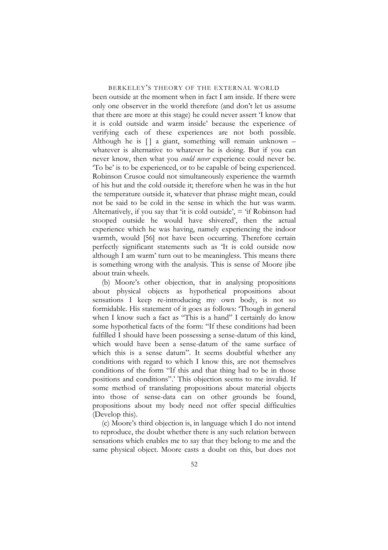been outside at the moment when in fact I am inside. If there were only one observer in the world therefore (and don't let us assume that there are more at this stage) he could never assert 'I know that it is cold outside and warm inside' because the experience of verifying each of these experiences are not both possible. Although he is  $[ \ ]$  a giant, something will remain unknown – whatever is alternative to whatever he is doing. But if you can never know, then what you *could never* experience could never be. 'To be' is to be experienced, or to be capable of being experienced. Robinson Crusoe could not simultaneously experience the warmth of his hut and the cold outside it; therefore when he was in the hut the temperature outside it, whatever that phrase might mean, could not be said to be cold in the sense in which the hut was warm. Alternatively, if you say that 'it is cold outside',  $=$  'if Robinson had stooped outside he would have shivered', then the actual experience which he was having, namely experiencing the indoor warmth, would [56] not have been occurring. Therefore certain perfectly significant statements such as 'It is cold outside now although I am warm' turn out to be meaningless. This means there is something wrong with the analysis. This is sense of Moore jibe about train wheels.

(b) Moore's other objection, that in analysing propositions about physical objects as hypothetical propositions about sensations I keep re-introducing my own body, is not so formidable. His statement of it goes as follows: 'Though in general when I know such a fact as "This is a hand" I certainly do know some hypothetical facts of the form: "If these conditions had been fulfilled I should have been possessing a sense-datum of this kind, which would have been a sense-datum of the same surface of which this is a sense datum". It seems doubtful whether any conditions with regard to which I know this, are not themselves conditions of the form "If this and that thing had to be in those positions and conditions".' This objection seems to me invalid. If some method of translating propositions about material objects into those of sense-data can on other grounds be found, propositions about my body need not offer special difficulties (Develop this).

(c) Moore's third objection is, in language which I do not intend to reproduce, the doubt whether there is any such relation between sensations which enables me to say that they belong to me and the same physical object. Moore casts a doubt on this, but does not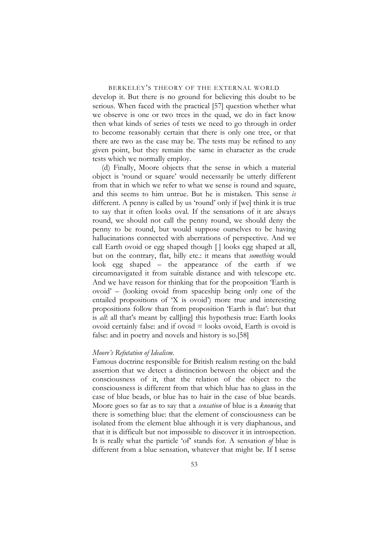develop it. But there is no ground for believing this doubt to be serious. When faced with the practical [57] question whether what we observe is one or two trees in the quad, we do in fact know then what kinds of series of tests we need to go through in order to become reasonably certain that there is only one tree, or that there are two as the case may be. The tests may be refined to any given point, but they remain the same in character as the crude tests which we normally employ.

(d) Finally, Moore objects that the sense in which a material object is 'round or square' would necessarily be utterly different from that in which we refer to what we sense is round and square, and this seems to him untrue. But he is mistaken. This sense *is* different. A penny is called by us 'round' only if [we] think it is true to say that it often looks oval. If the sensations of it are always round, we should not call the penny round, we should deny the penny to be round, but would suppose ourselves to be having hallucinations connected with aberrations of perspective. And we call Earth ovoid or egg shaped though [ ] looks egg shaped at all, but on the contrary, flat, hilly etc.: it means that *something* would look egg shaped – the appearance of the earth if we circumnavigated it from suitable distance and with telescope etc. And we have reason for thinking that for the proposition 'Earth is ovoid' – (looking ovoid from spaceship being only one of the entailed propositions of 'X is ovoid') more true and interesting propositions follow than from proposition 'Earth is flat': but that is *all*: all that's meant by call[ing] this hypothesis true: Earth looks ovoid certainly false: and if  $\text{ovoid} = \text{books}$  ovoid, Earth is ovoid is false: and in poetry and novels and history is so.[58]

## *Moore's Refutation of Idealism*.

Famous doctrine responsible for British realism resting on the bald assertion that we detect a distinction between the object and the consciousness of it, that the relation of the object to the consciousness is different from that which blue has to glass in the case of blue beads, or blue has to hair in the case of blue beards. Moore goes so far as to say that a *sensation* of blue is a *knowing* that there is something blue: that the element of consciousness can be isolated from the element blue although it is very diaphanous, and that it is difficult but not impossible to discover it in introspection. It is really what the particle 'of' stands for. A sensation *of* blue is different from a blue sensation, whatever that might be. If I sense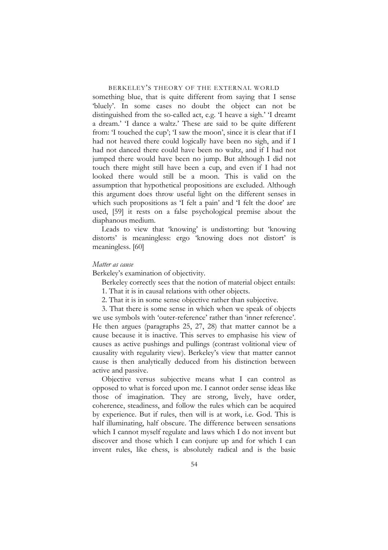something blue, that is quite different from saying that I sense 'bluely'. In some cases no doubt the object can not be distinguished from the so-called act, e.g. 'I heave a sigh.' 'I dreamt a dream.' 'I dance a waltz.' These are said to be quite different from: 'I touched the cup'; 'I saw the moon', since it is clear that if I had not heaved there could logically have been no sigh, and if I had not danced there could have been no waltz, and if I had not jumped there would have been no jump. But although I did not touch there might still have been a cup, and even if I had not looked there would still be a moon. This is valid on the assumption that hypothetical propositions are excluded. Although this argument does throw useful light on the different senses in which such propositions as 'I felt a pain' and 'I felt the door' are used, [59] it rests on a false psychological premise about the diaphanous medium.

Leads to view that 'knowing' is undistorting: but 'knowing distorts' is meaningless: ergo 'knowing does not distort' is meaningless. [60]

## *Matter as cause*

Berkeley's examination of objectivity.

Berkeley correctly sees that the notion of material object entails:

- 1. That it is in causal relations with other objects.
- 2. That it is in some sense objective rather than subjective.

3. That there is some sense in which when we speak of objects we use symbols with 'outer-reference' rather than 'inner reference'. He then argues (paragraphs 25, 27, 28) that matter cannot be a cause because it is inactive. This serves to emphasise his view of causes as active pushings and pullings (contrast volitional view of causality with regularity view). Berkeley's view that matter cannot cause is then analytically deduced from his distinction between active and passive.

Objective versus subjective means what I can control as opposed to what is forced upon me. I cannot order sense ideas like those of imagination. They are strong, lively, have order, coherence, steadiness, and follow the rules which can be acquired by experience. But if rules, then will is at work, i.e. God. This is half illuminating, half obscure. The difference between sensations which I cannot myself regulate and laws which I do not invent but discover and those which I can conjure up and for which I can invent rules, like chess, is absolutely radical and is the basic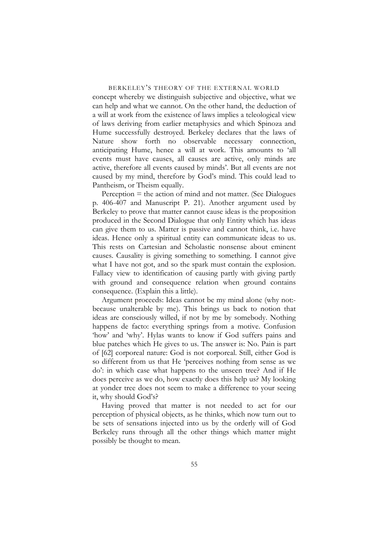concept whereby we distinguish subjective and objective, what we can help and what we cannot. On the other hand, the deduction of a will at work from the existence of laws implies a teleological view of laws deriving from earlier metaphysics and which Spinoza and Hume successfully destroyed. Berkeley declares that the laws of Nature show forth no observable necessary connection, anticipating Hume, hence a will at work. This amounts to 'all events must have causes, all causes are active, only minds are active, therefore all events caused by minds'. But all events are not caused by my mind, therefore by God's mind. This could lead to Pantheism, or Theism equally.

Perception  $=$  the action of mind and not matter. (See Dialogues p. 406-407 and Manuscript P. 21). Another argument used by Berkeley to prove that matter cannot cause ideas is the proposition produced in the Second Dialogue that only Entity which has ideas can give them to us. Matter is passive and cannot think, i.e. have ideas. Hence only a spiritual entity can communicate ideas to us. This rests on Cartesian and Scholastic nonsense about eminent causes. Causality is giving something to something. I cannot give what I have not got, and so the spark must contain the explosion. Fallacy view to identification of causing partly with giving partly with ground and consequence relation when ground contains consequence. (Explain this a little).

Argument proceeds: Ideas cannot be my mind alone (why not: because unalterable by me). This brings us back to notion that ideas are consciously willed, if not by me by somebody. Nothing happens de facto: everything springs from a motive. Confusion 'how' and 'why'. Hylas wants to know if God suffers pains and blue patches which He gives to us. The answer is: No. Pain is part of [62] corporeal nature: God is not corporeal. Still, either God is so different from us that He 'perceives nothing from sense as we do': in which case what happens to the unseen tree? And if He does perceive as we do, how exactly does this help us? My looking at yonder tree does not seem to make a difference to your seeing it, why should God's?

Having proved that matter is not needed to act for our perception of physical objects, as he thinks, which now turn out to be sets of sensations injected into us by the orderly will of God Berkeley runs through all the other things which matter might possibly be thought to mean.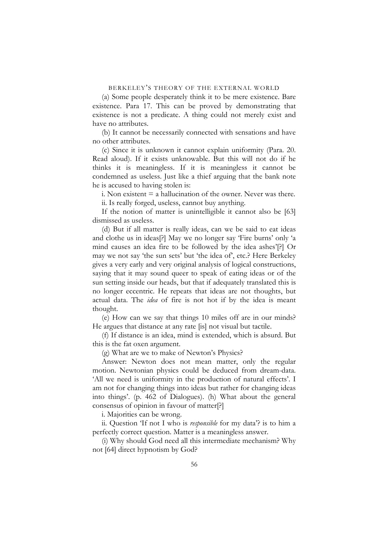(a) Some people desperately think it to be mere existence. Bare existence. Para 17. This can be proved by demonstrating that existence is not a predicate. A thing could not merely exist and have no attributes.

(b) It cannot be necessarily connected with sensations and have no other attributes.

(c) Since it is unknown it cannot explain uniformity (Para. 20. Read aloud). If it exists unknowable. But this will not do if he thinks it is meaningless. If it is meaningless it cannot be condemned as useless. Just like a thief arguing that the bank note he is accused to having stolen is:

i. Non existent  $=$  a hallucination of the owner. Never was there. ii. Is really forged, useless, cannot buy anything.

If the notion of matter is unintelligible it cannot also be [63] dismissed as useless.

(d) But if all matter is really ideas, can we be said to eat ideas and clothe us in ideas[?] May we no longer say 'Fire burns' only 'a mind causes an idea fire to be followed by the idea ashes'[?] Or may we not say 'the sun sets' but 'the idea of', etc.? Here Berkeley gives a very early and very original analysis of logical constructions, saying that it may sound queer to speak of eating ideas or of the sun setting inside our heads, but that if adequately translated this is no longer eccentric. He repeats that ideas are not thoughts, but actual data. The *idea* of fire is not hot if by the idea is meant thought.

(e) How can we say that things 10 miles off are in our minds? He argues that distance at any rate [is] not visual but tactile.

(f) If distance is an idea, mind is extended, which is absurd. But this is the fat oxen argument.

(g) What are we to make of Newton's Physics?

Answer: Newton does not mean matter, only the regular motion. Newtonian physics could be deduced from dream-data. 'All we need is uniformity in the production of natural effects'. I am not for changing things into ideas but rather for changing ideas into things'. (p. 462 of Dialogues). (h) What about the general consensus of opinion in favour of matter[?]

i. Majorities can be wrong.

ii. Question 'If not I who is *responsible* for my data'? is to him a perfectly correct question. Matter is a meaningless answer.

(i) Why should God need all this intermediate mechanism? Why not [64] direct hypnotism by God?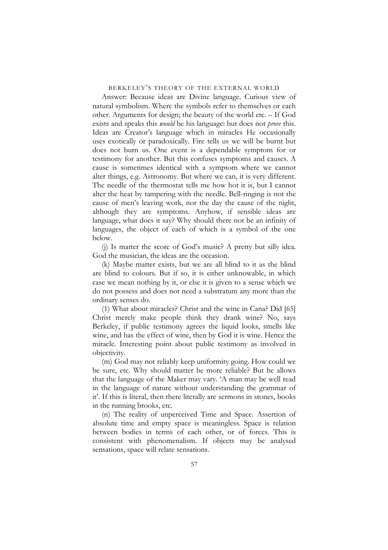Answer: Because ideas are Divine language. Curious view of natural symbolism. Where the symbols refer to themselves or each other. Arguments for design; the beauty of the world etc. – If God exists and speaks this *would* be his language: but does not *prove* this. Ideas are Creator's language which in miracles He occasionally uses exotically or paradoxically. Fire tells us we will be burnt but does not burn us. One event is a dependable symptom for or testimony for another. But this confuses symptoms and causes. A cause is sometimes identical with a symptom where we cannot alter things, e.g. Astronomy. But where we can, it is very different. The needle of the thermostat tells me how hot it is, but I cannot alter the heat by tampering with the needle. Bell-ringing is not the cause of men's leaving work, nor the day the cause of the night, although they are symptoms. Anyhow, if sensible ideas are language, what does it say? Why should there not be an infinity of languages, the object of each of which is a symbol of the one below.

(j) Is matter the score of God's music? A pretty but silly idea. God the musician, the ideas are the occasion.

(k) Maybe matter exists, but we are all blind to it as the blind are blind to colours. But if so, it is either unknowable, in which case we mean nothing by it, or else it is given to a sense which we do not possess and does not need a substratum any more than the ordinary senses do.

(1) What about miracles? Christ and the wine in Cana? Did [65] Christ merely make people think they drank wine? No, says Berkeley, if public testimony agrees the liquid looks, smells like wine, and has the effect of wine, then by God it is wine. Hence the miracle. Interesting point about public testimony as involved in objectivity.

(m) God may not reliably keep uniformity going. How could we be sure, etc. Why should matter be more reliable? But he allows that the language of the Maker may vary. 'A man may be well read in the language of nature without understanding the grammar of it'. If this is literal, then there literally are sermons in stones, books in the running brooks, etc.

(n) The reality of unperceived Time and Space. Assertion of absolute time and empty space is meaningless. Space is relation between bodies in terms of each other, or of forces. This is consistent with phenomenalism. If objects may be analysed sensations, space will relate sensations.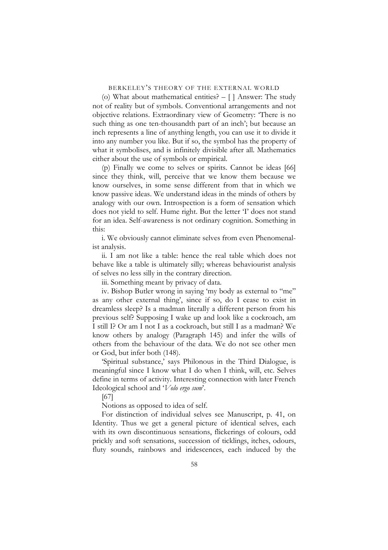(o) What about mathematical entities? – [ ] Answer: The study not of reality but of symbols. Conventional arrangements and not objective relations. Extraordinary view of Geometry: 'There is no such thing as one ten-thousandth part of an inch'; but because an inch represents a line of anything length, you can use it to divide it into any number you like. But if so, the symbol has the property of what it symbolises, and is infinitely divisible after all. Mathematics either about the use of symbols or empirical.

(p) Finally we come to selves or spirits. Cannot be ideas [66] since they think, will, perceive that we know them because we know ourselves, in some sense different from that in which we know passive ideas. We understand ideas in the minds of others by analogy with our own. Introspection is a form of sensation which does not yield to self. Hume right. But the letter 'I' does not stand for an idea. Self-awareness is not ordinary cognition. Something in this:

i. We obviously cannot eliminate selves from even Phenomenalist analysis.

ii. I am not like a table: hence the real table which does not behave like a table is ultimately silly; whereas behaviourist analysis of selves no less silly in the contrary direction.

iii. Something meant by privacy of data.

iv. Bishop Butler wrong in saying 'my body as external to "me" as any other external thing', since if so, do I cease to exist in dreamless sleep? Is a madman literally a different person from his previous self? Supposing I wake up and look like a cockroach, am I still I? Or am I not I as a cockroach, but still I as a madman? We know others by analogy (Paragraph 145) and infer the wills of others from the behaviour of the data. We do not see other men or God, but infer both (148).

'Spiritual substance,' says Philonous in the Third Dialogue, is meaningful since I know what I do when I think, will, etc. Selves define in terms of activity. Interesting connection with later French Ideological school and '*Volo ergo sum*'.

[67]

Notions as opposed to idea of self.

For distinction of individual selves see Manuscript, p. 41, on Identity. Thus we get a general picture of identical selves, each with its own discontinuous sensations, flickerings of colours, odd prickly and soft sensations, succession of ticklings, itches, odours, fluty sounds, rainbows and iridescences, each induced by the